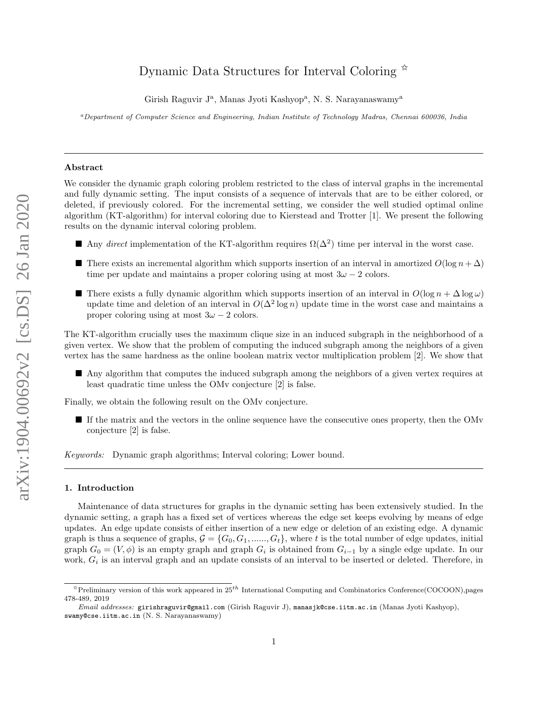# Dynamic Data Structures for Interval Coloring  $*$

Girish Raguvir J<sup>a</sup>, Manas Jyoti Kashyop<sup>a</sup>, N. S. Narayanaswamy<sup>a</sup>

<sup>a</sup>Department of Computer Science and Engineering, Indian Institute of Technology Madras, Chennai 600036, India

#### Abstract

We consider the dynamic graph coloring problem restricted to the class of interval graphs in the incremental and fully dynamic setting. The input consists of a sequence of intervals that are to be either colored, or deleted, if previously colored. For the incremental setting, we consider the well studied optimal online algorithm (KT-algorithm) for interval coloring due to Kierstead and Trotter [1]. We present the following results on the dynamic interval coloring problem.

- Any direct implementation of the KT-algorithm requires  $\Omega(\Delta^2)$  time per interval in the worst case.
- **■** There exists an incremental algorithm which supports insertion of an interval in amortized  $O(\log n + \Delta)$ time per update and maintains a proper coloring using at most  $3\omega - 2$  colors.
- There exists a fully dynamic algorithm which supports insertion of an interval in  $O(\log n + \Delta \log \omega)$ update time and deletion of an interval in  $O(\Delta^2 \log n)$  update time in the worst case and maintains a proper coloring using at most  $3\omega - 2$  colors.

The KT-algorithm crucially uses the maximum clique size in an induced subgraph in the neighborhood of a given vertex. We show that the problem of computing the induced subgraph among the neighbors of a given vertex has the same hardness as the online boolean matrix vector multiplication problem [2]. We show that

 Any algorithm that computes the induced subgraph among the neighbors of a given vertex requires at least quadratic time unless the OMv conjecture [2] is false.

Finally, we obtain the following result on the OMv conjecture.

 If the matrix and the vectors in the online sequence have the consecutive ones property, then the OMv conjecture [2] is false.

Keywords: Dynamic graph algorithms; Interval coloring; Lower bound.

#### 1. Introduction

Maintenance of data structures for graphs in the dynamic setting has been extensively studied. In the dynamic setting, a graph has a fixed set of vertices whereas the edge set keeps evolving by means of edge updates. An edge update consists of either insertion of a new edge or deletion of an existing edge. A dynamic graph is thus a sequence of graphs,  $G = \{G_0, G_1, \ldots, G_t\}$ , where t is the total number of edge updates, initial graph  $G_0 = (V, \phi)$  is an empty graph and graph  $G_i$  is obtained from  $G_{i-1}$  by a single edge update. In our work,  $G_i$  is an interval graph and an update consists of an interval to be inserted or deleted. Therefore, in

 $\hat{\sigma}$ Preliminary version of this work appeared in 25<sup>th</sup> International Computing and Combinatorics Conference(COCOON),pages 478-489, 2019

Email addresses: girishraguvir@gmail.com (Girish Raguvir J), manasjk@cse.iitm.ac.in (Manas Jyoti Kashyop), swamy@cse.iitm.ac.in (N. S. Narayanaswamy)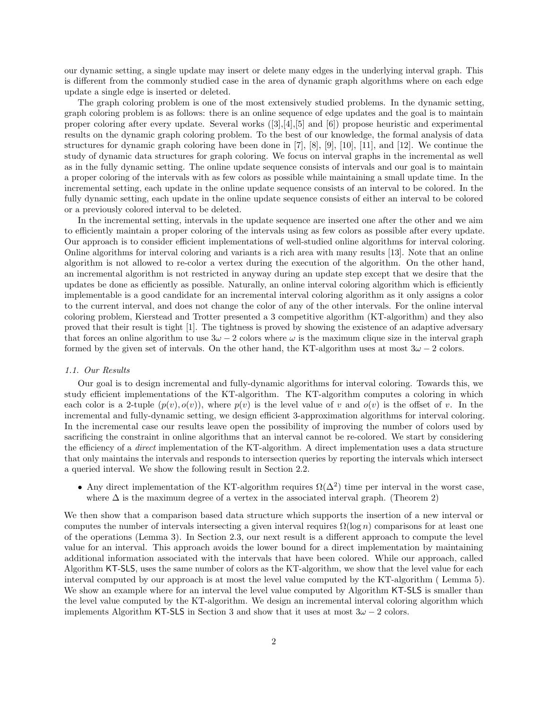our dynamic setting, a single update may insert or delete many edges in the underlying interval graph. This is different from the commonly studied case in the area of dynamic graph algorithms where on each edge update a single edge is inserted or deleted.

The graph coloring problem is one of the most extensively studied problems. In the dynamic setting, graph coloring problem is as follows: there is an online sequence of edge updates and the goal is to maintain proper coloring after every update. Several works  $([3],[4],[5]$  and  $[6])$  propose heuristic and experimental results on the dynamic graph coloring problem. To the best of our knowledge, the formal analysis of data structures for dynamic graph coloring have been done in  $[7]$ ,  $[8]$ ,  $[9]$ ,  $[10]$ ,  $[11]$ , and  $[12]$ . We continue the study of dynamic data structures for graph coloring. We focus on interval graphs in the incremental as well as in the fully dynamic setting. The online update sequence consists of intervals and our goal is to maintain a proper coloring of the intervals with as few colors as possible while maintaining a small update time. In the incremental setting, each update in the online update sequence consists of an interval to be colored. In the fully dynamic setting, each update in the online update sequence consists of either an interval to be colored or a previously colored interval to be deleted.

In the incremental setting, intervals in the update sequence are inserted one after the other and we aim to efficiently maintain a proper coloring of the intervals using as few colors as possible after every update. Our approach is to consider efficient implementations of well-studied online algorithms for interval coloring. Online algorithms for interval coloring and variants is a rich area with many results [13]. Note that an online algorithm is not allowed to re-color a vertex during the execution of the algorithm. On the other hand, an incremental algorithm is not restricted in anyway during an update step except that we desire that the updates be done as efficiently as possible. Naturally, an online interval coloring algorithm which is efficiently implementable is a good candidate for an incremental interval coloring algorithm as it only assigns a color to the current interval, and does not change the color of any of the other intervals. For the online interval coloring problem, Kierstead and Trotter presented a 3 competitive algorithm (KT-algorithm) and they also proved that their result is tight [1]. The tightness is proved by showing the existence of an adaptive adversary that forces an online algorithm to use  $3\omega - 2$  colors where  $\omega$  is the maximum clique size in the interval graph formed by the given set of intervals. On the other hand, the KT-algorithm uses at most  $3\omega - 2$  colors.

#### 1.1. Our Results

Our goal is to design incremental and fully-dynamic algorithms for interval coloring. Towards this, we study efficient implementations of the KT-algorithm. The KT-algorithm computes a coloring in which each color is a 2-tuple  $(p(v), o(v))$ , where  $p(v)$  is the level value of v and  $o(v)$  is the offset of v. In the incremental and fully-dynamic setting, we design efficient 3-approximation algorithms for interval coloring. In the incremental case our results leave open the possibility of improving the number of colors used by sacrificing the constraint in online algorithms that an interval cannot be re-colored. We start by considering the efficiency of a direct implementation of the KT-algorithm. A direct implementation uses a data structure that only maintains the intervals and responds to intersection queries by reporting the intervals which intersect a queried interval. We show the following result in Section 2.2.

• Any direct implementation of the KT-algorithm requires  $\Omega(\Delta^2)$  time per interval in the worst case, where  $\Delta$  is the maximum degree of a vertex in the associated interval graph. (Theorem 2)

We then show that a comparison based data structure which supports the insertion of a new interval or computes the number of intervals intersecting a given interval requires  $\Omega(\log n)$  comparisons for at least one of the operations (Lemma 3). In Section 2.3, our next result is a different approach to compute the level value for an interval. This approach avoids the lower bound for a direct implementation by maintaining additional information associated with the intervals that have been colored. While our approach, called Algorithm KT-SLS, uses the same number of colors as the KT-algorithm, we show that the level value for each interval computed by our approach is at most the level value computed by the KT-algorithm ( Lemma 5). We show an example where for an interval the level value computed by Algorithm KT-SLS is smaller than the level value computed by the KT-algorithm. We design an incremental interval coloring algorithm which implements Algorithm KT-SLS in Section 3 and show that it uses at most  $3\omega - 2$  colors.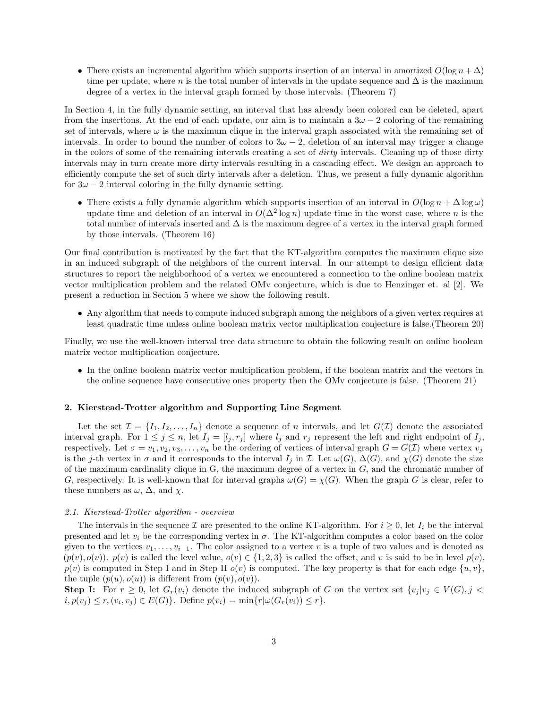• There exists an incremental algorithm which supports insertion of an interval in amortized  $O(\log n + \Delta)$ time per update, where n is the total number of intervals in the update sequence and  $\Delta$  is the maximum degree of a vertex in the interval graph formed by those intervals. (Theorem 7)

In Section 4, in the fully dynamic setting, an interval that has already been colored can be deleted, apart from the insertions. At the end of each update, our aim is to maintain a  $3\omega - 2$  coloring of the remaining set of intervals, where  $\omega$  is the maximum clique in the interval graph associated with the remaining set of intervals. In order to bound the number of colors to  $3\omega - 2$ , deletion of an interval may trigger a change in the colors of some of the remaining intervals creating a set of dirty intervals. Cleaning up of those dirty intervals may in turn create more dirty intervals resulting in a cascading effect. We design an approach to efficiently compute the set of such dirty intervals after a deletion. Thus, we present a fully dynamic algorithm for  $3\omega - 2$  interval coloring in the fully dynamic setting.

• There exists a fully dynamic algorithm which supports insertion of an interval in  $O(\log n + \Delta \log \omega)$ update time and deletion of an interval in  $O(\Delta^2 \log n)$  update time in the worst case, where n is the total number of intervals inserted and  $\Delta$  is the maximum degree of a vertex in the interval graph formed by those intervals. (Theorem 16)

Our final contribution is motivated by the fact that the KT-algorithm computes the maximum clique size in an induced subgraph of the neighbors of the current interval. In our attempt to design efficient data structures to report the neighborhood of a vertex we encountered a connection to the online boolean matrix vector multiplication problem and the related OMv conjecture, which is due to Henzinger et. al [2]. We present a reduction in Section 5 where we show the following result.

• Any algorithm that needs to compute induced subgraph among the neighbors of a given vertex requires at least quadratic time unless online boolean matrix vector multiplication conjecture is false.(Theorem 20)

Finally, we use the well-known interval tree data structure to obtain the following result on online boolean matrix vector multiplication conjecture.

• In the online boolean matrix vector multiplication problem, if the boolean matrix and the vectors in the online sequence have consecutive ones property then the OMv conjecture is false. (Theorem 21)

## 2. Kierstead-Trotter algorithm and Supporting Line Segment

Let the set  $\mathcal{I} = \{I_1, I_2, \ldots, I_n\}$  denote a sequence of n intervals, and let  $G(\mathcal{I})$  denote the associated interval graph. For  $1 \le j \le n$ , let  $I_j = [l_j, r_j]$  where  $l_j$  and  $r_j$  represent the left and right endpoint of  $I_j$ , respectively. Let  $\sigma = v_1, v_2, v_3, \ldots, v_n$  be the ordering of vertices of interval graph  $G = G(\mathcal{I})$  where vertex  $v_j$ is the j-th vertex in  $\sigma$  and it corresponds to the interval  $I_j$  in  $\mathcal I$ . Let  $\omega(G)$ ,  $\Delta(G)$ , and  $\chi(G)$  denote the size of the maximum cardinality clique in  $G$ , the maximum degree of a vertex in  $G$ , and the chromatic number of G, respectively. It is well-known that for interval graphs  $\omega(G) = \chi(G)$ . When the graph G is clear, refer to these numbers as  $\omega$ ,  $\Delta$ , and  $\chi$ .

#### 2.1. Kierstead-Trotter algorithm - overview

The intervals in the sequence I are presented to the online KT-algorithm. For  $i \geq 0$ , let  $I_i$  be the interval presented and let  $v_i$  be the corresponding vertex in  $\sigma$ . The KT-algorithm computes a color based on the color given to the vertices  $v_1, \ldots, v_{i-1}$ . The color assigned to a vertex v is a tuple of two values and is denoted as  $(p(v), o(v))$ .  $p(v)$  is called the level value,  $o(v) \in \{1, 2, 3\}$  is called the offset, and v is said to be in level  $p(v)$ .  $p(v)$  is computed in Step I and in Step II  $o(v)$  is computed. The key property is that for each edge  $\{u, v\}$ , the tuple  $(p(u), o(u))$  is different from  $(p(v), o(v))$ .

**Step I:** For  $r \geq 0$ , let  $G_r(v_i)$  denote the induced subgraph of G on the vertex set  $\{v_i | v_i \in V(G), j \leq i\}$  $i, p(v_j) \le r, (v_i, v_j) \in E(G) \}.$  Define  $p(v_i) = \min\{r | \omega(G_r(v_i)) \le r \}.$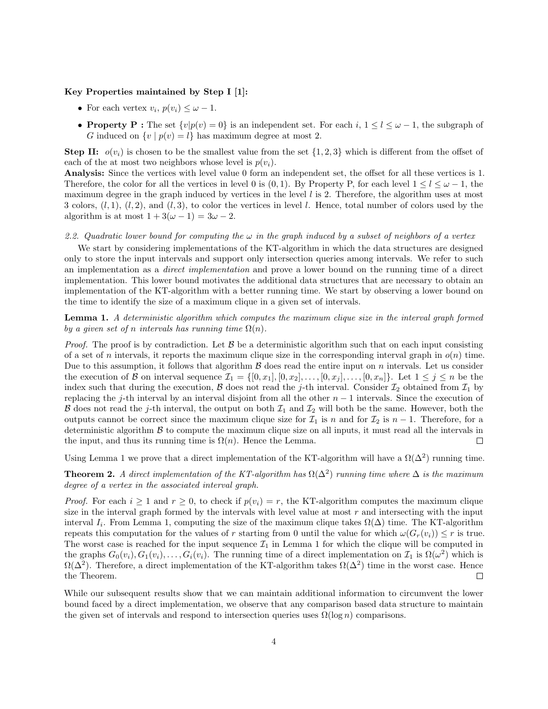## Key Properties maintained by Step I [1]:

- For each vertex  $v_i, p(v_i) \leq \omega 1$ .
- **Property P**: The set  $\{v|p(v) = 0\}$  is an independent set. For each i,  $1 \leq l \leq \omega 1$ , the subgraph of G induced on  $\{v \mid p(v) = l\}$  has maximum degree at most 2.

**Step II:**  $o(v_i)$  is chosen to be the smallest value from the set  $\{1, 2, 3\}$  which is different from the offset of each of the at most two neighbors whose level is  $p(v_i)$ .

Analysis: Since the vertices with level value 0 form an independent set, the offset for all these vertices is 1. Therefore, the color for all the vertices in level 0 is  $(0, 1)$ . By Property P, for each level  $1 \leq l \leq \omega - 1$ , the maximum degree in the graph induced by vertices in the level  $l$  is 2. Therefore, the algorithm uses at most 3 colors,  $(l, 1)$ ,  $(l, 2)$ , and  $(l, 3)$ , to color the vertices in level l. Hence, total number of colors used by the algorithm is at most  $1 + 3(\omega - 1) = 3\omega - 2$ .

2.2. Quadratic lower bound for computing the  $\omega$  in the graph induced by a subset of neighbors of a vertex

We start by considering implementations of the KT-algorithm in which the data structures are designed only to store the input intervals and support only intersection queries among intervals. We refer to such an implementation as a direct implementation and prove a lower bound on the running time of a direct implementation. This lower bound motivates the additional data structures that are necessary to obtain an implementation of the KT-algorithm with a better running time. We start by observing a lower bound on the time to identify the size of a maximum clique in a given set of intervals.

**Lemma 1.** A deterministic algorithm which computes the maximum clique size in the interval graph formed by a given set of n intervals has running time  $\Omega(n)$ .

*Proof.* The proof is by contradiction. Let  $\beta$  be a deterministic algorithm such that on each input consisting of a set of n intervals, it reports the maximum clique size in the corresponding interval graph in  $o(n)$  time. Due to this assumption, it follows that algorithm  $\beta$  does read the entire input on n intervals. Let us consider the execution of B on interval sequence  $\mathcal{I}_1 = \{[0, x_1], [0, x_2], \ldots, [0, x_i], \ldots, [0, x_n]\}$ . Let  $1 \leq j \leq n$  be the index such that during the execution,  $\beta$  does not read the j-th interval. Consider  $\mathcal{I}_2$  obtained from  $\mathcal{I}_1$  by replacing the j-th interval by an interval disjoint from all the other  $n - 1$  intervals. Since the execution of B does not read the j-th interval, the output on both  $\mathcal{I}_1$  and  $\mathcal{I}_2$  will both be the same. However, both the outputs cannot be correct since the maximum clique size for  $\mathcal{I}_1$  is n and for  $\mathcal{I}_2$  is  $n-1$ . Therefore, for a deterministic algorithm  $\beta$  to compute the maximum clique size on all inputs, it must read all the intervals in the input, and thus its running time is  $\Omega(n)$ . Hence the Lemma.  $\Box$ 

Using Lemma 1 we prove that a direct implementation of the KT-algorithm will have a  $\Omega(\Delta^2)$  running time.

**Theorem 2.** A direct implementation of the KT-algorithm has  $\Omega(\Delta^2)$  running time where  $\Delta$  is the maximum degree of a vertex in the associated interval graph.

*Proof.* For each  $i \geq 1$  and  $r \geq 0$ , to check if  $p(v_i) = r$ , the KT-algorithm computes the maximum clique size in the interval graph formed by the intervals with level value at most  $r$  and intersecting with the input interval  $I_i$ . From Lemma 1, computing the size of the maximum clique takes  $\Omega(\Delta)$  time. The KT-algorithm repeats this computation for the values of r starting from 0 until the value for which  $\omega(G_r(v_i)) \leq r$  is true. The worst case is reached for the input sequence  $\mathcal{I}_1$  in Lemma 1 for which the clique will be computed in the graphs  $G_0(v_i), G_1(v_i), \ldots, G_i(v_i)$ . The running time of a direct implementation on  $\mathcal{I}_1$  is  $\Omega(\omega^2)$  which is  $\Omega(\Delta^2)$ . Therefore, a direct implementation of the KT-algorithm takes  $\Omega(\Delta^2)$  time in the worst case. Hence the Theorem.  $\Box$ 

While our subsequent results show that we can maintain additional information to circumvent the lower bound faced by a direct implementation, we observe that any comparison based data structure to maintain the given set of intervals and respond to intersection queries uses  $\Omega(\log n)$  comparisons.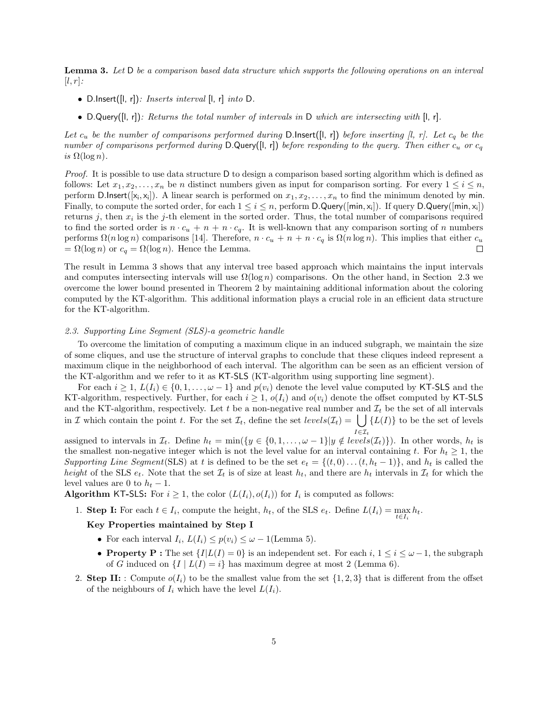Lemma 3. Let D be a comparison based data structure which supports the following operations on an interval  $[l, r]$ :

- D.Insert( $[I, r]$ ): Inserts interval  $[I, r]$  into D.
- D.Query( $[|, r]$ ): Returns the total number of intervals in D which are intersecting with  $[|, r]$ .

Let  $c_u$  be the number of comparisons performed during D.Insert([I, r]) before inserting [l, r]. Let  $c_q$  be the number of comparisons performed during D.Query( $\lceil \vert \cdot \vert \cdot \vert$ ) before responding to the query. Then either  $c_u$  or  $c_g$ is  $\Omega(\log n)$ .

Proof. It is possible to use data structure D to design a comparison based sorting algorithm which is defined as follows: Let  $x_1, x_2, \ldots, x_n$  be n distinct numbers given as input for comparison sorting. For every  $1 \leq i \leq n$ , perform D.Insert( $[x_i, x_i]$ ). A linear search is performed on  $x_1, x_2, \ldots, x_n$  to find the minimum denoted by min. Finally, to compute the sorted order, for each  $1 \le i \le n$ , perform D.Query( $[\min, x_i]$ ). If query D.Query( $[\min, x_i]$ ) returns j, then  $x_i$  is the j-th element in the sorted order. Thus, the total number of comparisons required to find the sorted order is  $n \cdot c_u + n + n \cdot c_q$ . It is well-known that any comparison sorting of n numbers performs  $\Omega(n \log n)$  comparisons [14]. Therefore,  $n \cdot c_u + n + n \cdot c_q$  is  $\Omega(n \log n)$ . This implies that either  $c_u$  $= \Omega(\log n)$  or  $c_q = \Omega(\log n)$ . Hence the Lemma.  $\Box$ 

The result in Lemma 3 shows that any interval tree based approach which maintains the input intervals and computes intersecting intervals will use  $\Omega(\log n)$  comparisons. On the other hand, in Section 2.3 we overcome the lower bound presented in Theorem 2 by maintaining additional information about the coloring computed by the KT-algorithm. This additional information plays a crucial role in an efficient data structure for the KT-algorithm.

## 2.3. Supporting Line Segment (SLS)-a geometric handle

To overcome the limitation of computing a maximum clique in an induced subgraph, we maintain the size of some cliques, and use the structure of interval graphs to conclude that these cliques indeed represent a maximum clique in the neighborhood of each interval. The algorithm can be seen as an efficient version of the KT-algorithm and we refer to it as KT-SLS (KT-algorithm using supporting line segment).

For each  $i \geq 1$ ,  $L(I_i) \in \{0, 1, \ldots, \omega - 1\}$  and  $p(v_i)$  denote the level value computed by KT-SLS and the KT-algorithm, respectively. Further, for each  $i \geq 1$ ,  $o(I_i)$  and  $o(v_i)$  denote the offset computed by KT-SLS and the KT-algorithm, respectively. Let t be a non-negative real number and  $\mathcal{I}_t$  be the set of all intervals in I which contain the point t. For the set  $\mathcal{I}_t$ , define the set  $levels(\mathcal{I}_t) = \bigcup \{L(I)\}\)$  to be the set of levels  $I \in \mathcal{I}_t$ 

assigned to intervals in  $\mathcal{I}_t$ . Define  $h_t = \min(\{y \in \{0, 1, \ldots, \omega - 1\} | y \notin levels(\mathcal{I}_t)\})$ . In other words,  $h_t$  is the smallest non-negative integer which is not the level value for an interval containing t. For  $h_t \geq 1$ , the Supporting Line Segment(SLS) at t is defined to be the set  $e_t = \{(t, 0) \dots (t, h_t - 1)\}\)$ , and  $h_t$  is called the height of the SLS  $e_t$ . Note that the set  $\mathcal{I}_t$  is of size at least  $h_t$ , and there are  $h_t$  intervals in  $\mathcal{I}_t$  for which the level values are 0 to  $h_t - 1$ .

**Algorithm KT-SLS:** For  $i \geq 1$ , the color  $(L(I_i), o(I_i))$  for  $I_i$  is computed as follows:

1. Step I: For each  $t \in I_i$ , compute the height,  $h_t$ , of the SLS  $e_t$ . Define  $L(I_i) = \max_{t \in I_i} h_t$ .

# Key Properties maintained by Step I

- For each interval  $I_i$ ,  $L(I_i) \leq p(v_i) \leq \omega 1$ (Lemma 5).
- **Property P**: The set  $\{I | L(I) = 0\}$  is an independent set. For each  $i, 1 \leq i \leq \omega 1$ , the subgraph of G induced on  $\{I \mid L(I) = i\}$  has maximum degree at most 2 (Lemma 6).
- 2. Step II: Compute  $o(I_i)$  to be the smallest value from the set  $\{1, 2, 3\}$  that is different from the offset of the neighbours of  $I_i$  which have the level  $L(I_i)$ .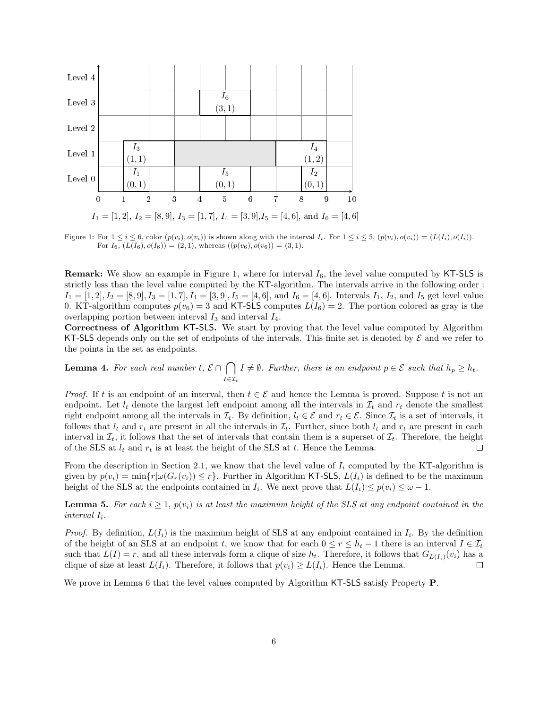

Figure 1: For  $1 \le i \le 6$ , color  $(p(v_i), o(v_i))$  is shown along with the interval  $I_i$ . For  $1 \le i \le 5$ ,  $(p(v_i), o(v_i)) = (L(I_i), o(I_i))$ . For  $I_6$ ,  $(L(I_6), o(I_6)) = (2, 1)$ , whereas  $((p(v_6), o(v_6)) = (3, 1)$ .

**Remark:** We show an example in Figure 1, where for interval  $I_6$ , the level value computed by KT-SLS is strictly less than the level value computed by the KT-algorithm. The intervals arrive in the following order :  $I_1 = [1, 2], I_2 = [8, 9], I_3 = [1, 7], I_4 = [3, 9], I_5 = [4, 6], \text{ and } I_6 = [4, 6].$  Intervals  $I_1, I_2, \text{ and } I_5$  get level value 0. KT-algorithm computes  $p(v_6) = 3$  and KT-SLS computes  $L(I_6) = 2$ . The portion colored as gray is the overlapping portion between interval  $I_3$  and interval  $I_4$ .

Correctness of Algorithm KT-SLS. We start by proving that the level value computed by Algorithm KT-SLS depends only on the set of endpoints of the intervals. This finite set is denoted by  $\mathcal E$  and we refer to the points in the set as endpoints.

**Lemma 4.** For each real number t,  $\mathcal{E} \cap \bigcap$  $I \in \mathcal{I}_t$  $I \neq \emptyset$ . Further, there is an endpoint  $p \in \mathcal{E}$  such that  $h_p \geq h_t$ .

*Proof.* If t is an endpoint of an interval, then  $t \in \mathcal{E}$  and hence the Lemma is proved. Suppose t is not an endpoint. Let  $l_t$  denote the largest left endpoint among all the intervals in  $\mathcal{I}_t$  and  $r_t$  denote the smallest right endpoint among all the intervals in  $\mathcal{I}_t$ . By definition,  $l_t \in \mathcal{E}$  and  $r_t \in \mathcal{E}$ . Since  $\mathcal{I}_t$  is a set of intervals, it follows that  $l_t$  and  $r_t$  are present in all the intervals in  $\mathcal{I}_t$ . Further, since both  $l_t$  and  $r_t$  are present in each interval in  $\mathcal{I}_t$ , it follows that the set of intervals that contain them is a superset of  $\mathcal{I}_t$ . Therefore, the height of the SLS at  $l_t$  and  $r_t$  is at least the height of the SLS at  $t$ . Hence the Lemma.  $\Box$ 

From the description in Section 2.1, we know that the level value of  $I_i$  computed by the KT-algorithm is given by  $p(v_i) = \min\{r | \omega(G_r(v_i)) \leq r\}$ . Further in Algorithm KT-SLS,  $L(I_i)$  is defined to be the maximum height of the SLS at the endpoints contained in  $I_i$ . We next prove that  $L(I_i) \leq p(v_i) \leq \omega - 1$ .

**Lemma 5.** For each  $i \geq 1$ ,  $p(v_i)$  is at least the maximum height of the SLS at any endpoint contained in the interval  $I_i$ .

*Proof.* By definition,  $L(I_i)$  is the maximum height of SLS at any endpoint contained in  $I_i$ . By the definition of the height of an SLS at an endpoint t, we know that for each  $0 \le r \le h_t - 1$  there is an interval  $I \in \mathcal{I}_t$ such that  $L(I) = r$ , and all these intervals form a clique of size  $h_t$ . Therefore, it follows that  $G_{L(I_i)}(v_i)$  has a clique of size at least  $L(I_i)$ . Therefore, it follows that  $p(v_i) > L(I_i)$ . Hence the Lemma. clique of size at least  $L(I_i)$ . Therefore, it follows that  $p(v_i) \ge L(I_i)$ . Hence the Lemma.

We prove in Lemma 6 that the level values computed by Algorithm KT-SLS satisfy Property **P**.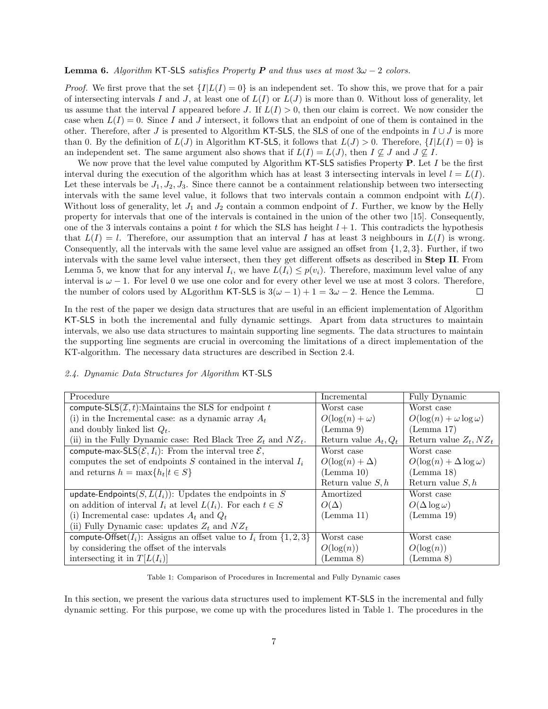#### **Lemma 6.** Algorithm KT-SLS satisfies Property **P** and thus uses at most  $3\omega - 2$  colors.

*Proof.* We first prove that the set  $\{I|L(I) = 0\}$  is an independent set. To show this, we prove that for a pair of intersecting intervals I and J, at least one of  $L(I)$  or  $L(J)$  is more than 0. Without loss of generality, let us assume that the interval I appeared before J. If  $L(I) > 0$ , then our claim is correct. We now consider the case when  $L(I) = 0$ . Since I and J intersect, it follows that an endpoint of one of them is contained in the other. Therefore, after J is presented to Algorithm KT-SLS, the SLS of one of the endpoints in  $I \cup J$  is more than 0. By the definition of  $L(J)$  in Algorithm KT-SLS, it follows that  $L(J) > 0$ . Therefore,  $\{I|L(I) = 0\}$  is an independent set. The same argument also shows that if  $L(I) = L(J)$ , then  $I \nsubseteq J$  and  $J \nsubseteq I$ .

We now prove that the level value computed by Algorithm KT-SLS satisfies Property **P**. Let I be the first interval during the execution of the algorithm which has at least 3 intersecting intervals in level  $l = L(I)$ . Let these intervals be  $J_1, J_2, J_3$ . Since there cannot be a containment relationship between two intersecting intervals with the same level value, it follows that two intervals contain a common endpoint with  $L(I)$ . Without loss of generality, let  $J_1$  and  $J_2$  contain a common endpoint of I. Further, we know by the Helly property for intervals that one of the intervals is contained in the union of the other two [15]. Consequently, one of the 3 intervals contains a point t for which the SLS has height  $l + 1$ . This contradicts the hypothesis that  $L(I) = l$ . Therefore, our assumption that an interval I has at least 3 neighbours in  $L(I)$  is wrong. Consequently, all the intervals with the same level value are assigned an offset from  $\{1, 2, 3\}$ . Further, if two intervals with the same level value intersect, then they get different offsets as described in Step II. From Lemma 5, we know that for any interval  $I_i$ , we have  $L(I_i) \leq p(v_i)$ . Therefore, maximum level value of any interval is  $\omega - 1$ . For level 0 we use one color and for every other level we use at most 3 colors. Therefore, the number of colors used by ALgorithm KT-SLS is  $3(\omega - 1) + 1 = 3\omega - 2$ . Hence the Lemma.  $\Box$ 

In the rest of the paper we design data structures that are useful in an efficient implementation of Algorithm KT-SLS in both the incremental and fully dynamic settings. Apart from data structures to maintain intervals, we also use data structures to maintain supporting line segments. The data structures to maintain the supporting line segments are crucial in overcoming the limitations of a direct implementation of the KT-algorithm. The necessary data structures are described in Section 2.4.

| Procedure                                                                     | Incremental             | Fully Dynamic                     |
|-------------------------------------------------------------------------------|-------------------------|-----------------------------------|
| compute-SLS $(\mathcal{I}, t)$ :Maintains the SLS for endpoint t              | Worst case              | Worst case                        |
| (i) in the Incremental case: as a dynamic array $A_t$                         | $O(\log(n) + \omega)$   | $O(\log(n) + \omega \log \omega)$ |
| and doubly linked list $Q_t$ .                                                | (Lemma 9)               | (Lemma 17)                        |
| (ii) in the Fully Dynamic case: Red Black Tree $Z_t$ and $NZ_t$ .             | Return value $A_t, Q_t$ | Return value $Z_t, NZ_t$          |
| compute-max-SLS $(\mathcal{E}, I_i)$ : From the interval tree $\mathcal{E}$ , | Worst case              | Worst case                        |
| computes the set of endpoints S contained in the interval $I_i$               | $O(\log(n) + \Delta)$   | $O(\log(n) + \Delta \log \omega)$ |
| and returns $h = \max\{h_t   t \in S\}$                                       | (Lemma 10)              | (Lemma 18)                        |
|                                                                               | Return value $S, h$     | Return value $S, h$               |
| update-Endpoints $(S, L(I_i))$ : Updates the endpoints in S                   | Amortized               | Worst case                        |
| on addition of interval $I_i$ at level $L(I_i)$ . For each $t \in S$          | $O(\Delta)$             | $O(\Delta \log \omega)$           |
| (i) Incremental case: updates $A_t$ and $Q_t$                                 | (Lemma 11)              | (Lemma 19)                        |
| (ii) Fully Dynamic case: updates $Z_t$ and $NZ_t$                             |                         |                                   |
| compute-Offset $(I_i)$ : Assigns an offset value to $I_i$ from $\{1,2,3\}$    | Worst case              | Worst case                        |
| by considering the offset of the intervals                                    | $O(\log(n))$            | $O(\log(n))$                      |
| intersecting it in $T[L(I_i)]$                                                | (Lemma 8)               | (Lemma 8)                         |

#### 2.4. Dynamic Data Structures for Algorithm KT-SLS

Table 1: Comparison of Procedures in Incremental and Fully Dynamic cases

In this section, we present the various data structures used to implement KT-SLS in the incremental and fully dynamic setting. For this purpose, we come up with the procedures listed in Table 1. The procedures in the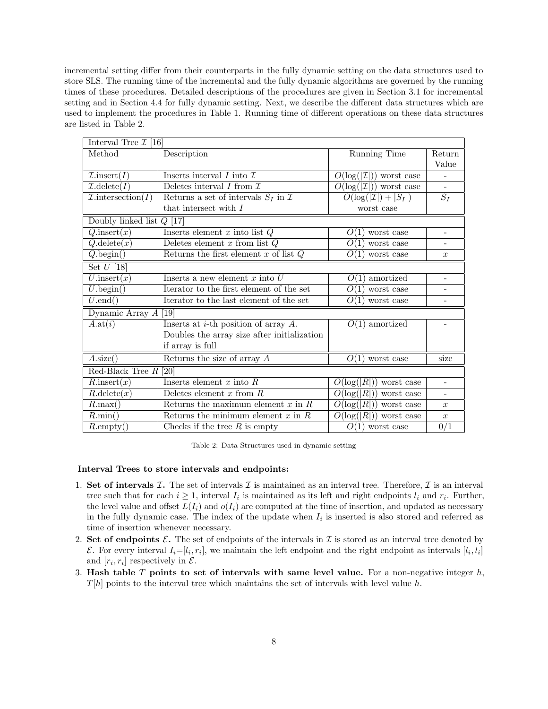incremental setting differ from their counterparts in the fully dynamic setting on the data structures used to store SLS. The running time of the incremental and the fully dynamic algorithms are governed by the running times of these procedures. Detailed descriptions of the procedures are given in Section 3.1 for incremental setting and in Section 4.4 for fully dynamic setting. Next, we describe the different data structures which are used to implement the procedures in Table 1. Running time of different operations on these data structures are listed in Table 2.

| Interval Tree $\mathcal{I}$ [16]     |                                                                   |                                        |                          |  |
|--------------------------------------|-------------------------------------------------------------------|----------------------------------------|--------------------------|--|
| Method                               | Description                                                       | Running Time                           | Return                   |  |
|                                      |                                                                   |                                        | Value                    |  |
| $\mathcal{I}.\text{insert}(I)$       | Inserts interval $I$ into $\mathcal I$                            | $O(\log( \mathcal{I} ))$ worst case    | $\overline{\phantom{0}}$ |  |
| $\mathcal{I}.\text{delete}(I)$       | Deletes interval $I$ from $\mathcal I$                            | $O(\log( \mathcal{I} ))$<br>worst case | $\overline{\phantom{0}}$ |  |
| $\mathcal{I}.\text{intersection}(I)$ | Returns a set of intervals $S_I$ in $\mathcal I$                  | $O(\log( \mathcal{I} ) +  S_I )$       | $\overline{S_I}$         |  |
|                                      | that intersect with $I$                                           | worst case                             |                          |  |
| Doubly linked list $Q$ [17]          |                                                                   |                                        |                          |  |
| $Q.\text{insert}(x)$                 | Inserts element $x$ into list $Q$                                 | worst case<br>O(1)                     | $\overline{a}$           |  |
| $Q.\text{delete}(x)$                 | Deletes element $x$ from list $Q$                                 | worst case<br>O(1)                     |                          |  |
| $Q.\text{begin})$                    | Returns the first element $x$ of list $Q$                         | O(1)<br>worst case                     | $\boldsymbol{x}$         |  |
| Set $U$ [18]                         |                                                                   |                                        |                          |  |
| $\overline{U.\text{insert}}(x)$      | Inserts a new element $x$ into $U$                                | amortized<br>O(1)                      | $\overline{\phantom{0}}$ |  |
| $U.\text{begin})$                    | Iterator to the first element of the set                          | worst case<br>O(1)                     | $\overline{\phantom{0}}$ |  |
| $U$ .end()                           | Iterator to the last element of the set                           | O(1)<br>worst case                     | $\overline{\phantom{0}}$ |  |
| Dynamic Array $A$ [19]               |                                                                   |                                        |                          |  |
| $A$ .at $(i)$                        | Inserts at <i>i</i> -th position of $\overline{\text{array }A}$ . | $O(1)$ amortized                       |                          |  |
|                                      | Doubles the array size after initialization                       |                                        |                          |  |
|                                      | if array is full                                                  |                                        |                          |  |
| A.size()                             | Returns the size of array $A$                                     | O(1)<br>worst case                     | size                     |  |
| Red-Black Tree $R$ [20]              |                                                                   |                                        |                          |  |
| R.insert(x)                          | Inserts element $x$ into $R$                                      | $O(\log( R ))$<br>worst case           | $\overline{\phantom{0}}$ |  |
| $R$ .delete $(x)$                    | Deletes element $x$ from $R$                                      | $O(\log( R ))$<br>worst case           |                          |  |
| $R \cdot max()$                      | Returns the maximum element $x$ in $R$                            | $O(\log( R ))$<br>worst case           | $\boldsymbol{x}$         |  |
| $R.\text{min}()$                     | Returns the minimum element $x$ in $R$                            | $O(\log( R ))$<br>worst case           | $\boldsymbol{x}$         |  |
| $R$ .empty()                         | Checks if the tree $R$ is empty                                   | $O(1)$ worst case                      | 0/1                      |  |

Table 2: Data Structures used in dynamic setting

#### Interval Trees to store intervals and endpoints:

- 1. Set of intervals  $\mathcal I$ . The set of intervals  $\mathcal I$  is maintained as an interval tree. Therefore,  $\mathcal I$  is an interval tree such that for each  $i \geq 1$ , interval  $I_i$  is maintained as its left and right endpoints  $l_i$  and  $r_i$ . Further, the level value and offset  $L(I_i)$  and  $o(I_i)$  are computed at the time of insertion, and updated as necessary in the fully dynamic case. The index of the update when  $I_i$  is inserted is also stored and referred as time of insertion whenever necessary.
- 2. Set of endpoints  $\mathcal{E}$ . The set of endpoints of the intervals in  $\mathcal{I}$  is stored as an interval tree denoted by  $\mathcal{E}$ . For every interval  $I_i=[l_i,r_i]$ , we maintain the left endpoint and the right endpoint as intervals  $[l_i,l_i]$ and  $[r_i, r_i]$  respectively in  $\mathcal{E}$ .
- 3. Hash table T points to set of intervals with same level value. For a non-negative integer  $h$ ,  $T[h]$  points to the interval tree which maintains the set of intervals with level value h.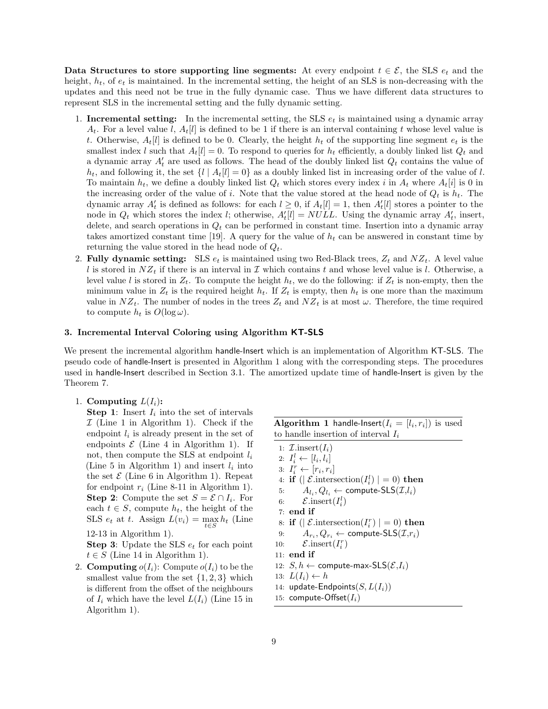Data Structures to store supporting line segments: At every endpoint  $t \in \mathcal{E}$ , the SLS  $e_t$  and the height,  $h_t$ , of  $e_t$  is maintained. In the incremental setting, the height of an SLS is non-decreasing with the updates and this need not be true in the fully dynamic case. Thus we have different data structures to represent SLS in the incremental setting and the fully dynamic setting.

- 1. Incremental setting: In the incremental setting, the SLS  $e_t$  is maintained using a dynamic array  $A_t$ . For a level value l,  $A_t[l]$  is defined to be 1 if there is an interval containing t whose level value is t. Otherwise,  $A_t[l]$  is defined to be 0. Clearly, the height  $h_t$  of the supporting line segment  $e_t$  is the smallest index l such that  $A_t[l] = 0$ . To respond to queries for  $h_t$  efficiently, a doubly linked list  $Q_t$  and a dynamic array  $A'_t$  are used as follows. The head of the doubly linked list  $Q_t$  contains the value of  $h_t$ , and following it, the set  $\{l \mid A_t[l]=0\}$  as a doubly linked list in increasing order of the value of l. To maintain  $h_t$ , we define a doubly linked list  $Q_t$  which stores every index i in  $A_t$  where  $A_t[i]$  is 0 in the increasing order of the value of i. Note that the value stored at the head node of  $Q_t$  is  $h_t$ . The dynamic array  $A'_t$  is defined as follows: for each  $l \geq 0$ , if  $A_t[l] = 1$ , then  $A'_t[l]$  stores a pointer to the node in  $Q_t$  which stores the index l; otherwise,  $A'_t[l] = NULL$ . Using the dynamic array  $A'_t$ , insert, delete, and search operations in  $Q_t$  can be performed in constant time. Insertion into a dynamic array takes amortized constant time [19]. A query for the value of  $h_t$  can be answered in constant time by returning the value stored in the head node of  $Q_t$ .
- 2. Fully dynamic setting: SLS  $e_t$  is maintained using two Red-Black trees,  $Z_t$  and  $NZ_t$ . A level value l is stored in  $NZ_t$  if there is an interval in  $\mathcal I$  which contains t and whose level value is l. Otherwise, a level value l is stored in  $Z_t$ . To compute the height  $h_t$ , we do the following: if  $Z_t$  is non-empty, then the minimum value in  $Z_t$  is the required height  $h_t$ . If  $Z_t$  is empty, then  $h_t$  is one more than the maximum value in  $NZ_t$ . The number of nodes in the trees  $Z_t$  and  $NZ_t$  is at most  $\omega$ . Therefore, the time required to compute  $h_t$  is  $O(\log \omega)$ .

## 3. Incremental Interval Coloring using Algorithm KT-SLS

We present the incremental algorithm handle-Insert which is an implementation of Algorithm KT-SLS. The pseudo code of handle-Insert is presented in Algorithm 1 along with the corresponding steps. The procedures used in handle-Insert described in Section 3.1. The amortized update time of handle-Insert is given by the Theorem 7.

1. Computing  $L(I_i)$ :

**Step 1**: Insert  $I_i$  into the set of intervals  $I$  (Line 1 in Algorithm 1). Check if the endpoint  $l_i$  is already present in the set of endpoints  $\mathcal E$  (Line 4 in Algorithm 1). If not, then compute the SLS at endpoint  $l_i$ (Line 5 in Algorithm 1) and insert  $l_i$  into the set  $\mathcal E$  (Line 6 in Algorithm 1). Repeat for endpoint  $r_i$  (Line 8-11 in Algorithm 1). **Step 2**: Compute the set  $S = \mathcal{E} \cap I_i$ . For each  $t \in S$ , compute  $h_t$ , the height of the SLS  $e_t$  at  $t$ . Assign  $L(v_i) = \max_{t \in S} h_t$  (Line 12-13 in Algorithm 1).

**Step 3:** Update the SLS  $e_t$  for each point  $t \in S$  (Line 14 in Algorithm 1).

2. **Computing**  $o(I_i)$ : Compute  $o(I_i)$  to be the smallest value from the set  $\{1, 2, 3\}$  which is different from the offset of the neighbours of  $I_i$  which have the level  $L(I_i)$  (Line 15 in Algorithm 1).

**Algorithm 1** handle-Insert $(I_i = [l_i, r_i])$  is used to handle insertion of interval  $I_i$ 

1:  $\mathcal{I}.\text{insert}(I_i)$ 2:  $I_i^l \leftarrow [l_i, l_i]$ 3:  $I_i^r \leftarrow [r_i, r_i]$ 4: if  $(| \mathcal{E}.{\rm intersection}(I_i^l)| = 0)$  then 5:  $A_{l_i}, Q_{l_i} \leftarrow \text{compute-SLS}(\mathcal{I}, l_i)$ 6:  $\mathcal{E}.\text{insert}(I_i^l)$ 7: end if 8: if  $(|\mathcal{E}.intersection(I_i^r)| = 0)$  then 9:  $A_{r_i}, Q_{r_i} \leftarrow$  compute-SLS $(\mathcal{I}, r_i)$ 10:  $\mathcal{E}.\text{insert}(I_i^r)$ 11: end if 12:  $S, h \leftarrow$  compute-max-SLS $(\mathcal{E}, I_i)$ 13:  $L(I_i) \leftarrow h$ 14: update-Endpoints $(S, L(I_i))$ 15: compute-Offset $(I_i)$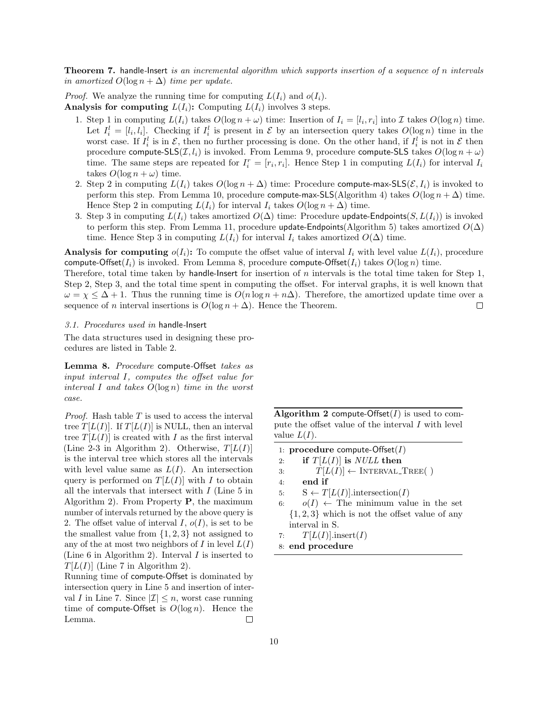**Theorem 7.** handle-lnsert is an incremental algorithm which supports insertion of a sequence of n intervals in amortized  $O(\log n + \Delta)$  time per update.

*Proof.* We analyze the running time for computing  $L(I_i)$  and  $o(I_i)$ .

Analysis for computing  $L(I_i)$ : Computing  $L(I_i)$  involves 3 steps.

- 1. Step 1 in computing  $L(I_i)$  takes  $O(\log n + \omega)$  time: Insertion of  $I_i = [l_i, r_i]$  into  $\mathcal I$  takes  $O(\log n)$  time. Let  $I_i^l = [l_i, l_i]$ . Checking if  $I_i^l$  is present in  $\mathcal E$  by an intersection query takes  $O(\log n)$  time in the worst case. If  $I_i^l$  is in  $\mathcal{E}$ , then no further processing is done. On the other hand, if  $I_i^l$  is not in  $\mathcal{E}$  then procedure compute-SLS $(\mathcal{I}, l_i)$  is invoked. From Lemma 9, procedure compute-SLS takes  $O(\log n + \omega)$ time. The same steps are repeated for  $I_i^r = [r_i, r_i]$ . Hence Step 1 in computing  $L(I_i)$  for interval  $I_i$ takes  $O(\log n + \omega)$  time.
- 2. Step 2 in computing  $L(I_i)$  takes  $O(\log n + \Delta)$  time: Procedure compute-max-SLS( $\mathcal{E}, I_i$ ) is invoked to perform this step. From Lemma 10, procedure compute-max-SLS(Algorithm 4) takes  $O(\log n + \Delta)$  time. Hence Step 2 in computing  $L(I_i)$  for interval  $I_i$  takes  $O(\log n + \Delta)$  time.
- 3. Step 3 in computing  $L(I_i)$  takes amortized  $O(\Delta)$  time: Procedure update-Endpoints(S,  $L(I_i)$ ) is invoked to perform this step. From Lemma 11, procedure update-Endpoints(Algorithm 5) takes amortized  $O(\Delta)$ time. Hence Step 3 in computing  $L(I_i)$  for interval  $I_i$  takes amortized  $O(\Delta)$  time.

**Analysis for computing**  $o(I_i)$ : To compute the offset value of interval  $I_i$  with level value  $L(I_i)$ , procedure compute-Offset( $I_i$ ) is invoked. From Lemma 8, procedure compute-Offset( $I_i$ ) takes  $O(\log n)$  time.

Therefore, total time taken by handle-Insert for insertion of n intervals is the total time taken for Step 1, Step 2, Step 3, and the total time spent in computing the offset. For interval graphs, it is well known that  $\omega = \chi \leq \Delta + 1$ . Thus the running time is  $O(n \log n + n\Delta)$ . Therefore, the amortized update time over a sequence of *n* interval insertions is  $O(\log n + \Delta)$ . Hence the Theorem.  $\Box$ 

3.1. Procedures used in handle-Insert

The data structures used in designing these procedures are listed in Table 2.

Lemma 8. Procedure compute-Offset takes as input interval I, computes the offset value for interval I and takes  $O(\log n)$  time in the worst case.

*Proof.* Hash table  $T$  is used to access the interval tree  $T[L(I)]$ . If  $T[L(I)]$  is NULL, then an interval tree  $T[L(I)]$  is created with I as the first interval (Line 2-3 in Algorithm 2). Otherwise,  $T[L(I)]$ is the interval tree which stores all the intervals with level value same as  $L(I)$ . An intersection query is performed on  $T[L(I)]$  with I to obtain all the intervals that intersect with  $I$  (Line 5 in Algorithm 2). From Property P, the maximum number of intervals returned by the above query is 2. The offset value of interval  $I, o(I)$ , is set to be the smallest value from {1, 2, 3} not assigned to any of the at most two neighbors of I in level  $L(I)$ (Line 6 in Algorithm 2). Interval  $I$  is inserted to  $T[L(I)]$  (Line 7 in Algorithm 2).

Running time of compute-Offset is dominated by intersection query in Line 5 and insertion of interval I in Line 7. Since  $|\mathcal{I}| \leq n$ , worst case running time of compute-Offset is  $O(\log n)$ . Hence the Lemma.  $\Box$ 

Algorithm 2 compute-Offset $(I)$  is used to compute the offset value of the interval I with level value  $L(I)$ .

1: procedure compute-Offset $(I)$ 

2: if  $T[L(I)]$  is *NULL* then

3: T[L(I)] ← Interval Tree( )

- 4: end if
- 5:  $S \leftarrow T[L(I)]$ .intersection(*I*)
- 6:  $o(I) \leftarrow$  The minimum value in the set  $\{1, 2, 3\}$  which is not the offset value of any interval in S.

7:  $T[L(I)]$ .insert(I)

8: end procedure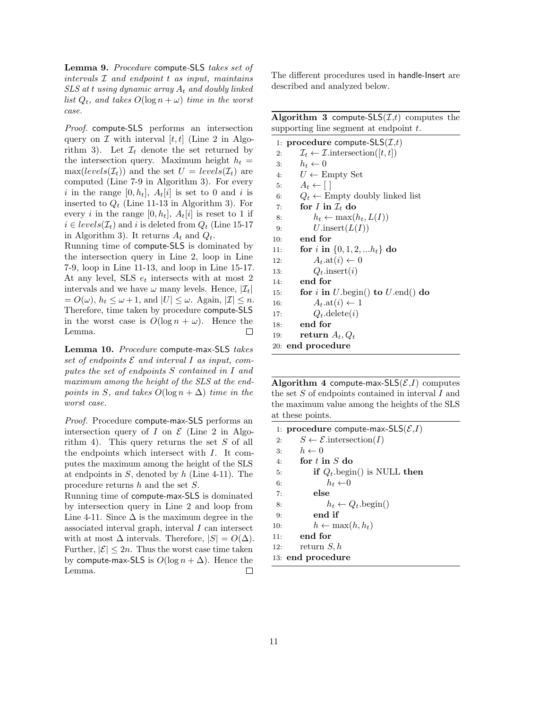Lemma 9. Procedure compute-SLS takes set of intervals  $I$  and endpoint  $t$  as input, maintains  $SLS$  at t using dynamic array  $A_t$  and doubly linked list  $Q_t$ , and takes  $O(\log n + \omega)$  time in the worst case.

Proof. compute-SLS performs an intersection query on  $\mathcal I$  with interval  $[t, t]$  (Line 2 in Algorithm 3). Let  $\mathcal{I}_t$  denote the set returned by the intersection query. Maximum height  $h_t =$  $max(levels(\mathcal{I}_t))$  and the set  $U = levels(\mathcal{I}_t)$  are computed (Line 7-9 in Algorithm 3). For every i in the range  $[0, h_t]$ ,  $A_t[i]$  is set to 0 and i is inserted to  $Q_t$  (Line 11-13 in Algorithm 3). For every i in the range  $[0, h_t]$ ,  $A_t[i]$  is reset to 1 if  $i \in levels(\mathcal{I}_t)$  and i is deleted from  $Q_t$  (Line 15-17) in Algorithm 3). It returns  $A_t$  and  $Q_t$ .

Running time of compute-SLS is dominated by the intersection query in Line 2, loop in Line 7-9, loop in Line 11-13, and loop in Line 15-17. At any level, SLS  $e_t$  intersects with at most 2 intervals and we have  $\omega$  many levels. Hence,  $|\mathcal{I}_t|$  $= O(\omega)$ ,  $h_t \leq \omega + 1$ , and  $|U| \leq \omega$ . Again,  $|\mathcal{I}| \leq n$ . Therefore, time taken by procedure compute-SLS in the worst case is  $O(\log n + \omega)$ . Hence the Lemma.  $\Box$ 

Lemma 10. Procedure compute-max-SLS takes set of endpoints  $\mathcal E$  and interval I as input, computes the set of endpoints S contained in I and maximum among the height of the SLS at the endpoints in S, and takes  $O(\log n + \Delta)$  time in the worst case.

Proof. Procedure compute-max-SLS performs an intersection query of I on  $\mathcal E$  (Line 2 in Algorithm 4). This query returns the set  $S$  of all the endpoints which intersect with I. It computes the maximum among the height of the SLS at endpoints in  $S$ , denoted by  $h$  (Line 4-11). The procedure returns  $h$  and the set  $S$ .

Running time of compute-max-SLS is dominated by intersection query in Line 2 and loop from Line 4-11. Since  $\Delta$  is the maximum degree in the associated interval graph, interval I can intersect with at most  $\Delta$  intervals. Therefore,  $|S| = O(\Delta)$ . Further,  $|\mathcal{E}| \leq 2n$ . Thus the worst case time taken by compute-max-SLS is  $O(\log n + \Delta)$ . Hence the Lemma. П

The different procedures used in handle-Insert are described and analyzed below.

Algorithm 3 compute- $SLS(\mathcal{I},t)$  computes the supporting line segment at endpoint  $t$ .

|     | 1: procedure compute-SLS $(\mathcal{I},t)$                        |
|-----|-------------------------------------------------------------------|
| 2:  | $\mathcal{I}_t \leftarrow \mathcal{I}.\text{intersection}([t,t])$ |
| 3:  | $h_t \leftarrow 0$                                                |
| 4:  | $U \leftarrow$ Empty Set                                          |
| 5:  | $A_t \leftarrow \Box$                                             |
| 6:  | $Q_t \leftarrow$ Empty doubly linked list                         |
| 7:  | for $I$ in $\mathcal{I}_t$ do                                     |
| 8:  | $h_t \leftarrow \max(h_t, L(I))$                                  |
| 9:  | $U$ .insert $(L(I))$                                              |
| 10: | end for                                                           |
| 11: | for <i>i</i> in $\{0, 1, 2,  h_t\}$ do                            |
| 12: | $A_t$ .at $(i) \leftarrow 0$                                      |
| 13: | $Q_t$ .insert $(i)$                                               |
| 14: | end for                                                           |
| 15: | for i in $U.\text{begin})$ to $U.\text{end})$ do                  |
| 16: | $A_t$ .at $(i) \leftarrow 1$                                      |
| 17: | $Q_t$ . delete $(i)$                                              |
| 18: | end for                                                           |
| 19: | return $A_t, Q_t$                                                 |
|     | 20: end procedure                                                 |

Algorithm 4 compute-max-SLS $(\mathcal{E}, I)$  computes the set  $S$  of endpoints contained in interval  $I$  and the maximum value among the heights of the SLS at these points.

```
1: procedure compute-max-SLS(\mathcal{E}, I)2: S \leftarrow \mathcal{E}.intersection(I)
 3: h \leftarrow 04: for t \text{ in } S \text{ do}5: if Q_t begin() is NULL then
 6: h_t \leftarrow 07: else
 8: h_t \leftarrow Q_t \cdot \text{begin}(t)9: end if
10: h \leftarrow \max(h, h_t)11: end for
12: return S, h13: end procedure
```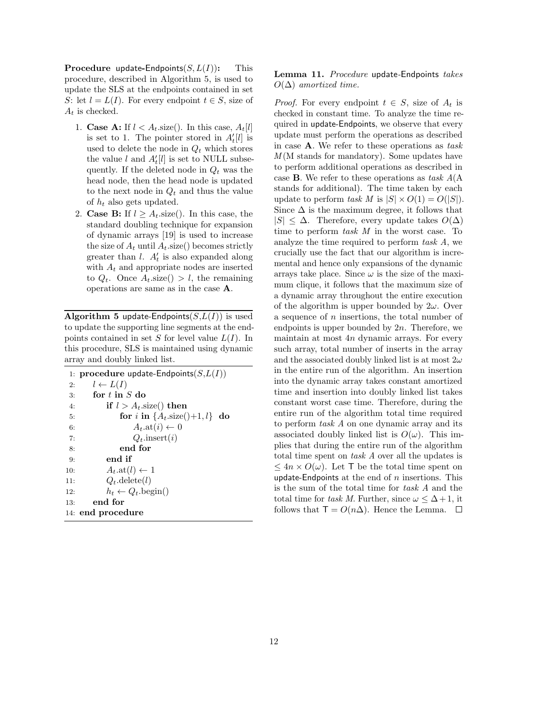**Procedure update-Endpoints** $(S, L(I))$ : This procedure, described in Algorithm 5, is used to update the SLS at the endpoints contained in set S: let  $l = L(I)$ . For every endpoint  $t \in S$ , size of  $A_t$  is checked.

- 1. **Case A:** If  $l < A_t$  size(). In this case,  $A_t[l]$ is set to 1. The pointer stored in  $A'_t[l]$  is used to delete the node in  $Q_t$  which stores the value  $l$  and  $A'_t[l]$  is set to NULL subsequently. If the deleted node in  $Q_t$  was the head node, then the head node is updated to the next node in  $Q_t$  and thus the value of  $h_t$  also gets updated.
- 2. **Case B:** If  $l \geq A_t$  size(). In this case, the standard doubling technique for expansion of dynamic arrays [19] is used to increase the size of  $A_t$  until  $A_t$  size() becomes strictly greater than  $l$ .  $A'_t$  is also expanded along with  $A_t$  and appropriate nodes are inserted to  $Q_t$ . Once  $A_t$  size() > l, the remaining operations are same as in the case A.

Algorithm 5 update-Endpoints $(S, L(I))$  is used to update the supporting line segments at the endpoints contained in set S for level value  $L(I)$ . In this procedure, SLS is maintained using dynamic array and doubly linked list.

|     | 1: procedure update-Endpoints $(S, L(I))$ |
|-----|-------------------------------------------|
| 2:  | $l \leftarrow L(I)$                       |
| 3:  | for $t$ in $S$ do                         |
| 4:  | if $l > A_t$ size() then                  |
| 5:  | for i in $\{A_t$ size()+1, l do           |
| 6:  | $A_t$ .at $(i) \leftarrow 0$              |
| 7:  | $Q_t$ .insert $(i)$                       |
| 8:  | end for                                   |
| 9:  | end if                                    |
| 10: | $A_t$ .at $(l) \leftarrow 1$              |
| 11: | $Q_t$ .delete $(l)$                       |
| 12: | $h_t \leftarrow Q_t \cdot \text{begin})$  |
| 13: | end for                                   |
|     | 14: end procedure                         |

Lemma 11. Procedure update-Endpoints takes  $O(\Delta)$  amortized time.

*Proof.* For every endpoint  $t \in S$ , size of  $A_t$  is checked in constant time. To analyze the time required in update-Endpoints, we observe that every update must perform the operations as described in case  $A$ . We refer to these operations as task  $M(M \t{ stands for mandatory})$ . Some updates have to perform additional operations as described in case **B**. We refer to these operations as task  $A(A)$ stands for additional). The time taken by each update to perform task M is  $|S| \times O(1) = O(|S|)$ . Since  $\Delta$  is the maximum degree, it follows that  $|S| \leq \Delta$ . Therefore, every update takes  $O(\Delta)$ time to perform task M in the worst case. To analyze the time required to perform task A, we crucially use the fact that our algorithm is incremental and hence only expansions of the dynamic arrays take place. Since  $\omega$  is the size of the maximum clique, it follows that the maximum size of a dynamic array throughout the entire execution of the algorithm is upper bounded by  $2\omega$ . Over a sequence of  $n$  insertions, the total number of endpoints is upper bounded by  $2n$ . Therefore, we maintain at most 4n dynamic arrays. For every such array, total number of inserts in the array and the associated doubly linked list is at most  $2\omega$ in the entire run of the algorithm. An insertion into the dynamic array takes constant amortized time and insertion into doubly linked list takes constant worst case time. Therefore, during the entire run of the algorithm total time required to perform task A on one dynamic array and its associated doubly linked list is  $O(\omega)$ . This implies that during the entire run of the algorithm total time spent on task A over all the updates is  $\leq 4n \times O(\omega)$ . Let T be the total time spent on update-Endpoints at the end of  $n$  insertions. This is the sum of the total time for task A and the total time for task M. Further, since  $\omega \leq \Delta + 1$ , it follows that  $\mathsf{T} = O(n\Delta)$ . Hence the Lemma.  $\Box$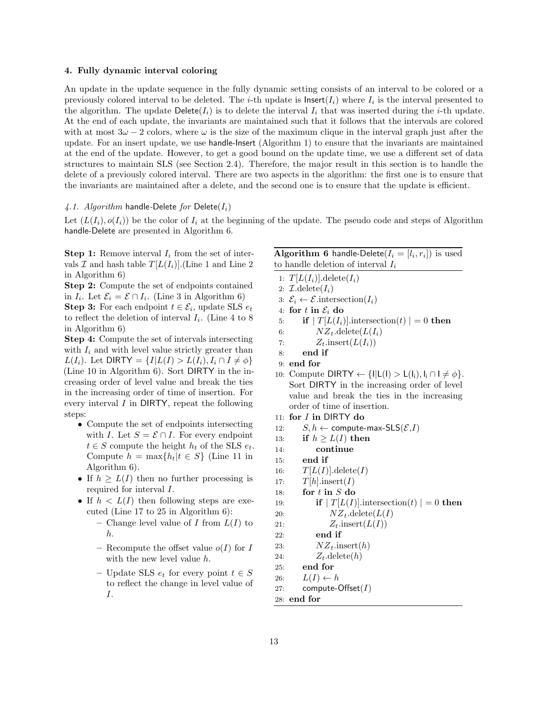#### 4. Fully dynamic interval coloring

An update in the update sequence in the fully dynamic setting consists of an interval to be colored or a previously colored interval to be deleted. The *i*-th update is lnsert $(I_i)$  where  $I_i$  is the interval presented to the algorithm. The update  $\text{Delete}(I_i)$  is to delete the interval  $I_i$  that was inserted during the *i*-th update. At the end of each update, the invariants are maintained such that it follows that the intervals are colored with at most  $3\omega - 2$  colors, where  $\omega$  is the size of the maximum clique in the interval graph just after the update. For an insert update, we use handle-Insert (Algorithm 1) to ensure that the invariants are maintained at the end of the update. However, to get a good bound on the update time, we use a different set of data structures to maintain SLS (see Section 2.4). Therefore, the major result in this section is to handle the delete of a previously colored interval. There are two aspects in the algorithm: the first one is to ensure that the invariants are maintained after a delete, and the second one is to ensure that the update is efficient.

# 4.1. Algorithm handle-Delete for Delete( $I_i$ )

Let  $(L(I_i), o(I_i))$  be the color of  $I_i$  at the beginning of the update. The pseudo code and steps of Algorithm handle-Delete are presented in Algorithm 6.

**Step 1:** Remove interval  $I_i$  from the set of intervals  $\mathcal I$  and hash table  $T[L(I_i)]$ . (Line 1 and Line 2 in Algorithm 6)

Step 2: Compute the set of endpoints contained in  $I_i$ . Let  $\mathcal{E}_i = \mathcal{E} \cap I_i$ . (Line 3 in Algorithm 6) **Step 3:** For each endpoint  $t \in \mathcal{E}_i$ , update SLS  $e_t$ to reflect the deletion of interval  $I_i$ . (Line 4 to 8) in Algorithm 6)

Step 4: Compute the set of intervals intersecting with  $I_i$  and with level value strictly greater than  $L(I_i)$ . Let DIRTY =  $\{I | L(I) > L(I_i), I_i \cap I \neq \emptyset\}$ (Line 10 in Algorithm 6). Sort DIRTY in the increasing order of level value and break the ties in the increasing order of time of insertion. For every interval  $I$  in DIRTY, repeat the following steps:

- Compute the set of endpoints intersecting with I. Let  $S = \mathcal{E} \cap I$ . For every endpoint  $t \in S$  compute the height  $h_t$  of the SLS  $e_t$ . Compute  $h = \max\{h_t | t \in S\}$  (Line 11 in Algorithm 6).
- If  $h > L(I)$  then no further processing is required for interval I.
- If  $h < L(I)$  then following steps are executed (Line 17 to 25 in Algorithm 6):
	- Change level value of I from  $L(I)$  to h.
	- Recompute the offset value  $o(I)$  for I with the new level value h.
	- Update SLS  $e_t$  for every point  $t \in S$ to reflect the change in level value of I.

**Algorithm 6** handle-Delete $(I_i = [l_i, r_i])$  is used to handle deletion of interval  $I_i$ 

1:  $T[L(I_i)]$ .delete $(I_i)$ 2:  $\mathcal{I}.\text{delete}(I_i)$ 3:  $\mathcal{E}_i \leftarrow \mathcal{E}.\text{intersection}(I_i)$ 4: for t in  $\mathcal{E}_i$  do 5: if  $|T[L(I_i)]$ .intersection(t)  $|=0$  then 6:  $NZ_t$ .delete $(L(I_i))$ 7:  $Z_t$ .insert $(L(I_i))$ 8: end if 9: end for 10: Compute DIRTY ←  $\{|L(I) > L(I_i), I_i \cap I \neq \emptyset\}.$ Sort DIRTY in the increasing order of level value and break the ties in the increasing order of time of insertion. 11: for I in DIRTY do 12:  $S, h \leftarrow$  compute-max-SLS( $\mathcal{E}, I$ ) 13: if  $h \geq L(I)$  then 14: continue 15: end if 16:  $T[L(I)]$ .delete(I) 17:  $T[h]$ .insert(I) 18: for  $t \text{ in } S \text{ do}$ 19: **if**  $T[L(I)]$ .intersection(t)  $= 0$  then 20:  $NZ_t$ .delete $(L(I))$ 21:  $Z_t$ .insert $(L(I))$ 22: end if 23:  $NZ_t$ .insert(h) 24:  $Z_t$ .delete $(h)$ 25: end for 26:  $L(I) \leftarrow h$ 27: compute-Offset $(I)$ 28: end for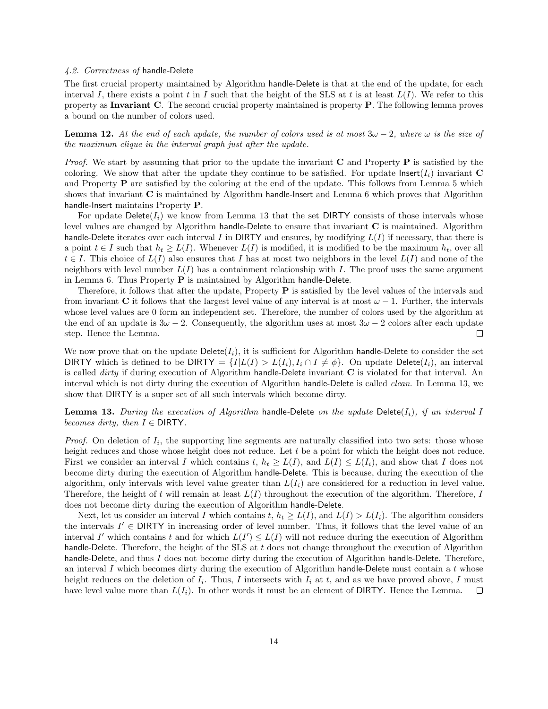#### 4.2. Correctness of handle-Delete

The first crucial property maintained by Algorithm handle-Delete is that at the end of the update, for each interval I, there exists a point t in I such that the height of the SLS at t is at least  $L(I)$ . We refer to this property as Invariant C. The second crucial property maintained is property P. The following lemma proves a bound on the number of colors used.

**Lemma 12.** At the end of each update, the number of colors used is at most  $3\omega - 2$ , where  $\omega$  is the size of the maximum clique in the interval graph just after the update.

*Proof.* We start by assuming that prior to the update the invariant  $C$  and Property  $P$  is satisfied by the coloring. We show that after the update they continue to be satisfied. For update  $\textsf{Insert}(I_i)$  invariant C and Property P are satisfied by the coloring at the end of the update. This follows from Lemma 5 which shows that invariant C is maintained by Algorithm handle-Insert and Lemma 6 which proves that Algorithm handle-Insert maintains Property P.

For update Delete( $I_i$ ) we know from Lemma 13 that the set DIRTY consists of those intervals whose level values are changed by Algorithm handle-Delete to ensure that invariant C is maintained. Algorithm handle-Delete iterates over each interval I in DIRTY and ensures, by modifying  $L(I)$  if necessary, that there is a point  $t \in I$  such that  $h_t \geq L(I)$ . Whenever  $L(I)$  is modified, it is modified to be the maximum  $h_t$ , over all  $t \in I$ . This choice of  $L(I)$  also ensures that I has at most two neighbors in the level  $L(I)$  and none of the neighbors with level number  $L(I)$  has a containment relationship with I. The proof uses the same argument in Lemma 6. Thus Property  $P$  is maintained by Algorithm handle-Delete.

Therefore, it follows that after the update, Property P is satisfied by the level values of the intervals and from invariant C it follows that the largest level value of any interval is at most  $\omega - 1$ . Further, the intervals whose level values are 0 form an independent set. Therefore, the number of colors used by the algorithm at the end of an update is  $3\omega - 2$ . Consequently, the algorithm uses at most  $3\omega - 2$  colors after each update step. Hence the Lemma. П

We now prove that on the update  $Delete(I_i)$ , it is sufficient for Algorithm handle-Delete to consider the set DIRTY which is defined to be DIRTY =  $\{I|L(I) > L(I_i), I_i \cap I \neq \emptyset\}$ . On update Delete $(I_i)$ , an interval is called *dirty* if during execution of Algorithm handle-Delete invariant  $C$  is violated for that interval. An interval which is not dirty during the execution of Algorithm handle-Delete is called *clean*. In Lemma 13, we show that DIRTY is a super set of all such intervals which become dirty.

**Lemma 13.** During the execution of Algorithm handle-Delete on the update Delete( $I_i$ ), if an interval I becomes dirty, then  $I \in$  DIRTY.

*Proof.* On deletion of  $I_i$ , the supporting line segments are naturally classified into two sets: those whose height reduces and those whose height does not reduce. Let t be a point for which the height does not reduce. First we consider an interval I which contains t,  $h_t \geq L(I)$ , and  $L(I) \leq L(I_i)$ , and show that I does not become dirty during the execution of Algorithm handle-Delete. This is because, during the execution of the algorithm, only intervals with level value greater than  $L(I_i)$  are considered for a reduction in level value. Therefore, the height of t will remain at least  $L(I)$  throughout the execution of the algorithm. Therefore, I does not become dirty during the execution of Algorithm handle-Delete.

Next, let us consider an interval I which contains t,  $h_t \geq L(I)$ , and  $L(I) > L(I_i)$ . The algorithm considers the intervals  $I' \in \text{DIRTY}$  in increasing order of level number. Thus, it follows that the level value of an interval I' which contains t and for which  $L(I') \leq L(I)$  will not reduce during the execution of Algorithm handle-Delete. Therefore, the height of the SLS at  $t$  does not change throughout the execution of Algorithm handle-Delete, and thus I does not become dirty during the execution of Algorithm handle-Delete. Therefore, an interval I which becomes dirty during the execution of Algorithm handle-Delete must contain a t whose height reduces on the deletion of  $I_i$ . Thus, I intersects with  $I_i$  at t, and as we have proved above, I must have level value more than  $L(I_i)$ . In other words it must be an element of DIRTY. Hence the Lemma.  $\Box$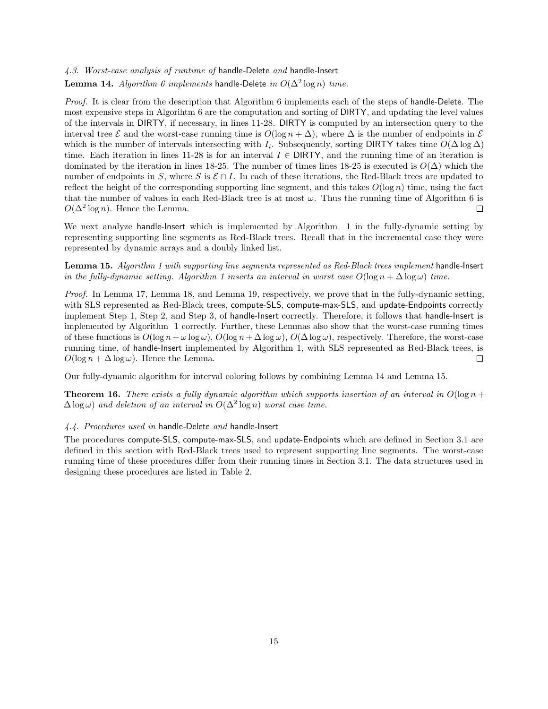## 4.3. Worst-case analysis of runtime of handle-Delete and handle-Insert

# Lemma 14. Algorithm 6 implements handle-Delete in  $O(\Delta^2 \log n)$  time.

Proof. It is clear from the description that Algorithm 6 implements each of the steps of handle-Delete. The most expensive steps in Algorihtm 6 are the computation and sorting of DIRTY, and updating the level values of the intervals in DIRTY, if necessary, in lines 11-28. DIRTY is computed by an intersection query to the interval tree E and the worst-case running time is  $O(\log n + \Delta)$ , where  $\Delta$  is the number of endpoints in E which is the number of intervals intersecting with  $I_i$ . Subsequently, sorting DIRTY takes time  $O(\Delta \log \Delta)$ time. Each iteration in lines 11-28 is for an interval  $I \in$  DIRTY, and the running time of an iteration is dominated by the iteration in lines 18-25. The number of times lines 18-25 is executed is  $O(\Delta)$  which the number of endpoints in S, where S is  $\mathcal{E} \cap I$ . In each of these iterations, the Red-Black trees are updated to reflect the height of the corresponding supporting line segment, and this takes  $O(\log n)$  time, using the fact that the number of values in each Red-Black tree is at most  $\omega$ . Thus the running time of Algorithm 6 is  $O(\Delta^2 \log n)$ . Hence the Lemma.  $\Box$ 

We next analyze handle-Insert which is implemented by Algorithm 1 in the fully-dynamic setting by representing supporting line segments as Red-Black trees. Recall that in the incremental case they were represented by dynamic arrays and a doubly linked list.

Lemma 15. Algorithm 1 with supporting line segments represented as Red-Black trees implement handle-Insert in the fully-dynamic setting. Algorithm 1 inserts an interval in worst case  $O(\log n + \Delta \log \omega)$  time.

Proof. In Lemma 17, Lemma 18, and Lemma 19, respectively, we prove that in the fully-dynamic setting, with SLS represented as Red-Black trees, compute-SLS, compute-max-SLS, and update-Endpoints correctly implement Step 1, Step 2, and Step 3, of handle-Insert correctly. Therefore, it follows that handle-Insert is implemented by Algorithm 1 correctly. Further, these Lemmas also show that the worst-case running times of these functions is  $O(\log n + \omega \log \omega)$ ,  $O(\log n + \Delta \log \omega)$ ,  $O(\Delta \log \omega)$ , respectively. Therefore, the worst-case running time, of handle-Insert implemented by Algorithm 1, with SLS represented as Red-Black trees, is  $O(\log n + \Delta \log \omega)$ . Hence the Lemma.  $\Box$ 

Our fully-dynamic algorithm for interval coloring follows by combining Lemma 14 and Lemma 15.

**Theorem 16.** There exists a fully dynamic algorithm which supports insertion of an interval in  $O(\log n +$  $\Delta \log \omega$ ) and deletion of an interval in  $O(\Delta^2 \log n)$  worst case time.

## 4.4. Procedures used in handle-Delete and handle-Insert

The procedures compute-SLS, compute-max-SLS, and update-Endpoints which are defined in Section 3.1 are defined in this section with Red-Black trees used to represent supporting line segments. The worst-case running time of these procedures differ from their running times in Section 3.1. The data structures used in designing these procedures are listed in Table 2.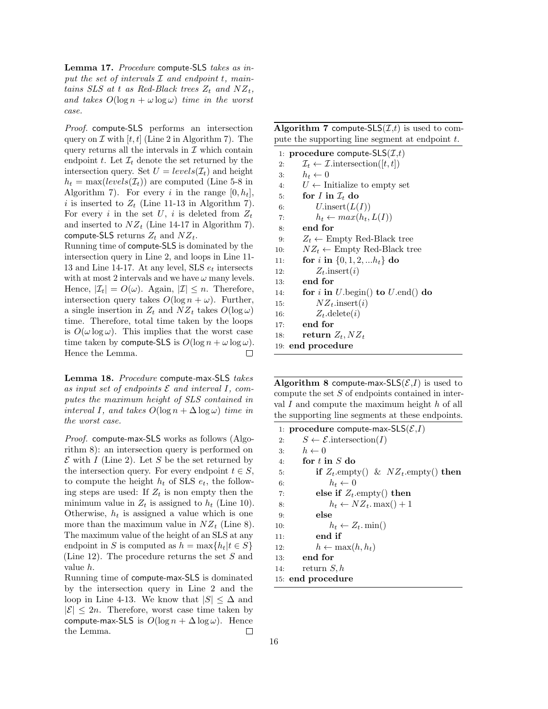Lemma 17. Procedure compute-SLS takes as input the set of intervals  $\mathcal I$  and endpoint  $t$ , maintains SLS at t as Red-Black trees  $Z_t$  and  $NZ_t$ , and takes  $O(\log n + \omega \log \omega)$  time in the worst case.

Proof. compute-SLS performs an intersection query on  $\mathcal I$  with  $[t, t]$  (Line 2 in Algorithm 7). The query returns all the intervals in  $\mathcal I$  which contain endpoint t. Let  $\mathcal{I}_t$  denote the set returned by the intersection query. Set  $U = levels(\mathcal{I}_t)$  and height  $h_t = \max(levels(\mathcal{I}_t))$  are computed (Line 5-8 in Algorithm 7). For every i in the range  $[0, h_t]$ , i is inserted to  $Z_t$  (Line 11-13 in Algorithm 7). For every i in the set U, i is deleted from  $Z_t$ and inserted to  $NZ_t$  (Line 14-17 in Algorithm 7). compute-SLS returns  $Z_t$  and  $NZ_t$ .

Running time of compute-SLS is dominated by the intersection query in Line 2, and loops in Line 11- 13 and Line 14-17. At any level, SLS  $e_t$  intersects with at most 2 intervals and we have  $\omega$  many levels. Hence,  $|\mathcal{I}_t| = O(\omega)$ . Again,  $|\mathcal{I}| \leq n$ . Therefore, intersection query takes  $O(\log n + \omega)$ . Further, a single insertion in  $Z_t$  and  $NZ_t$  takes  $O(\log \omega)$ time. Therefore, total time taken by the loops is  $O(\omega \log \omega)$ . This implies that the worst case time taken by compute-SLS is  $O(\log n + \omega \log \omega)$ . Hence the Lemma.  $\Box$ 

Lemma 18. Procedure compute-max-SLS takes as input set of endpoints  $\mathcal E$  and interval I, computes the maximum height of SLS contained in interval I, and takes  $O(\log n + \Delta \log \omega)$  time in the worst case.

Proof. compute-max-SLS works as follows (Algorithm 8): an intersection query is performed on  $\mathcal E$  with I (Line 2). Let S be the set returned by the intersection query. For every endpoint  $t \in S$ , to compute the height  $h_t$  of SLS  $e_t$ , the following steps are used: If  $Z_t$  is non empty then the minimum value in  $Z_t$  is assigned to  $h_t$  (Line 10). Otherwise,  $h_t$  is assigned a value which is one more than the maximum value in  $NZ_t$  (Line 8). The maximum value of the height of an SLS at any endpoint in S is computed as  $h = \max\{h_t | t \in S\}$ (Line 12). The procedure returns the set S and value h.

Running time of compute-max-SLS is dominated by the intersection query in Line 2 and the loop in Line 4-13. We know that  $|S| \leq \Delta$  and  $|\mathcal{E}| \leq 2n$ . Therefore, worst case time taken by compute-max-SLS is  $O(\log n + \Delta \log \omega)$ . Hence the Lemma.  $\Box$ 

Algorithm 7 compute-SLS $(\mathcal{I},t)$  is used to compute the supporting line segment at endpoint  $t$ .

|     | 1: procedure compute-SLS $(\mathcal{I},t)$                        |
|-----|-------------------------------------------------------------------|
| 2:  | $\mathcal{I}_t \leftarrow \mathcal{I}.\text{intersection}([t,t])$ |
| 3:  | $h_t \leftarrow 0$                                                |
| 4:  | $U \leftarrow$ Initialize to empty set                            |
| 5:  | for $I$ in $\mathcal{I}_t$ do                                     |
| 6:  | $U$ .insert $(L(I))$                                              |
| 7:  | $h_t \leftarrow max(h_t, L(I))$                                   |
| 8:  | end for                                                           |
| 9:  | $Z_t \leftarrow$ Empty Red-Black tree                             |
| 10: | $NZ_t \leftarrow$ Empty Red-Black tree                            |
| 11: | for <i>i</i> in $\{0, 1, 2,  h_t\}$ do                            |
| 12: | $Z_t$ .insert $(i)$                                               |
| 13: | end for                                                           |
| 14: | for i in $U.\text{begin}()$ to $U.\text{end}()$ do                |
| 15: | $NZ_t$ .insert $(i)$                                              |
| 16: | $Z_t$ .delete $(i)$                                               |
| 17: | end for                                                           |
| 18: | return $Z_t$ , $NZ_t$                                             |
|     | 19: end procedure                                                 |

Algorithm 8 compute-max-SLS( $\mathcal{E}, I$ ) is used to compute the set  $S$  of endpoints contained in interval  $I$  and compute the maximum height  $h$  of all the supporting line segments at these endpoints.

```
1: procedure compute-max-SLS(\mathcal{E}, I)2: S \leftarrow \mathcal{E}.intersection(I)
3: h \leftarrow 04: for t \text{ in } S \text{ do}5: if Z_t.empty() & NZ_t.empty() then
6: h_t \leftarrow 07: else if Z_t.empty() then
8: h_t \leftarrow NZ_t \cdot \max() + 19: else
10: h_t \leftarrow Z_t \cdot \min()11: end if
12: h \leftarrow \max(h, h_t)13: end for
14: return S, h15: end procedure
```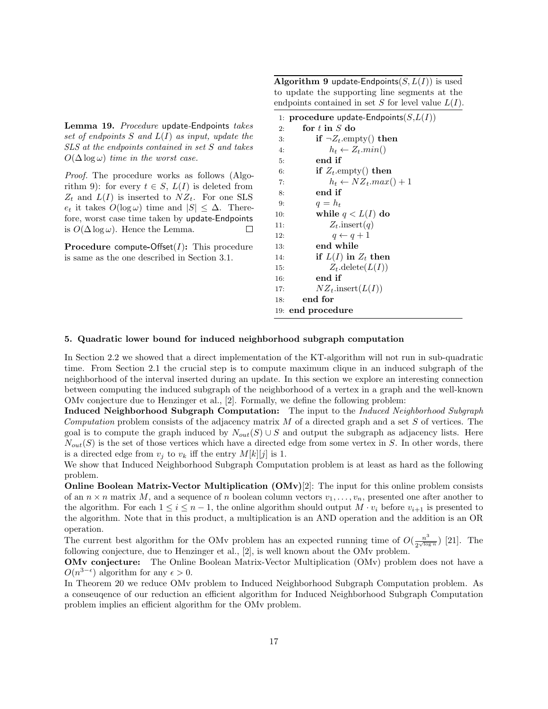Lemma 19. Procedure update-Endpoints takes set of endpoints  $S$  and  $L(I)$  as input, update the SLS at the endpoints contained in set S and takes  $O(\Delta \log \omega)$  time in the worst case.

Proof. The procedure works as follows (Algorithm 9): for every  $t \in S$ ,  $L(I)$  is deleted from  $Z_t$  and  $L(I)$  is inserted to  $NZ_t$ . For one SLS  $e_t$  it takes  $O(\log \omega)$  time and  $|S| \leq \Delta$ . Therefore, worst case time taken by update-Endpoints is  $O(\Delta \log \omega)$ . Hence the Lemma.  $\Box$ 

**Procedure compute-Offset** $(I)$ : This procedure is same as the one described in Section 3.1.

Algorithm 9 update-Endpoints $(S, L(I))$  is used to update the supporting line segments at the endpoints contained in set S for level value  $L(I)$ .

|     | 1: procedure update-Endpoints( $S, L(I)$ ) |
|-----|--------------------------------------------|
| 2:  | for $t$ in $S$ do                          |
| 3:  | if $\neg Z_t$ empty() then                 |
| 4:  | $h_t \leftarrow Z_t.min()$                 |
| 5:  | end if                                     |
| 6:  | if $Z_t$ empty() then                      |
| 7:  | $h_t \leftarrow NZ_t.max() + 1$            |
| 8:  | end if                                     |
| 9:  | $q = h_t$                                  |
| 10: | while $q < L(I)$ do                        |
| 11: | $Z_t$ .insert $(q)$                        |
| 12: | $q \leftarrow q + 1$                       |
| 13: | end while                                  |
| 14: | if $L(I)$ in $Z_t$ then                    |
| 15. | $Z_t$ .delete $(L(I))$                     |
| 16: | end if                                     |
| 17: | $NZ_t$ .insert $(L(I))$                    |
| 18: | end for                                    |
|     | 19: end procedure                          |

## 5. Quadratic lower bound for induced neighborhood subgraph computation

In Section 2.2 we showed that a direct implementation of the KT-algorithm will not run in sub-quadratic time. From Section 2.1 the crucial step is to compute maximum clique in an induced subgraph of the neighborhood of the interval inserted during an update. In this section we explore an interesting connection between computing the induced subgraph of the neighborhood of a vertex in a graph and the well-known OMv conjecture due to Henzinger et al., [2]. Formally, we define the following problem:

Induced Neighborhood Subgraph Computation: The input to the Induced Neighborhood Subgraph Computation problem consists of the adjacency matrix  $M$  of a directed graph and a set  $S$  of vertices. The goal is to compute the graph induced by  $N_{out}(S) \cup S$  and output the subgraph as adjacency lists. Here  $N_{out}(S)$  is the set of those vertices which have a directed edge from some vertex in S. In other words, there is a directed edge from  $v_j$  to  $v_k$  iff the entry  $M[k][j]$  is 1.

We show that Induced Neighborhood Subgraph Computation problem is at least as hard as the following problem.

Online Boolean Matrix-Vector Multiplication (OMv)[2]: The input for this online problem consists of an  $n \times n$  matrix M, and a sequence of n boolean column vectors  $v_1, \ldots, v_n$ , presented one after another to the algorithm. For each  $1 \leq i \leq n-1$ , the online algorithm should output  $M \cdot v_i$  before  $v_{i+1}$  is presented to the algorithm. Note that in this product, a multiplication is an AND operation and the addition is an OR operation.

The current best algorithm for the OMv problem has an expected running time of  $O(\frac{n^3}{2\sqrt{\log n}})$  $\frac{n^{\circ}}{2^{\sqrt{\log n}}}\$  [21]. The following conjecture, due to Henzinger et al., [2], is well known about the OMv problem.

OMv conjecture: The Online Boolean Matrix-Vector Multiplication (OMv) problem does not have a  $O(n^{3-\epsilon})$  algorithm for any  $\epsilon > 0$ .

In Theorem 20 we reduce OMv problem to Induced Neighborhood Subgraph Computation problem. As a conseuqence of our reduction an efficient algorithm for Induced Neighborhood Subgraph Computation problem implies an efficient algorithm for the OMv problem.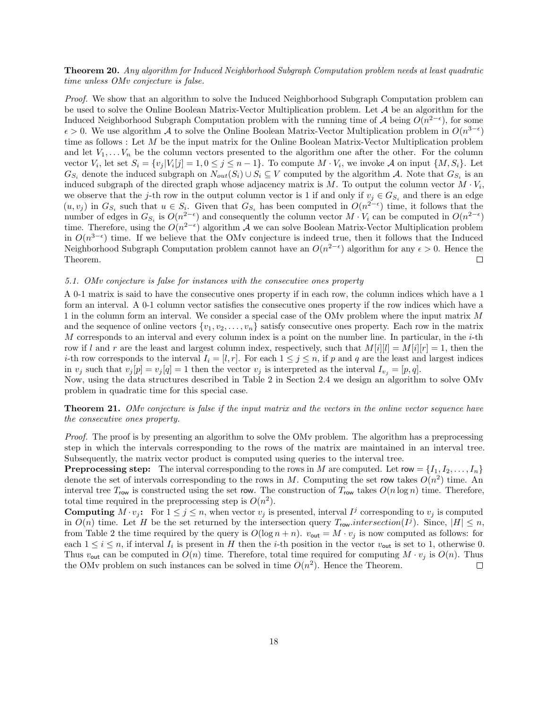## **Theorem 20.** Any algorithm for Induced Neighborhood Subgraph Computation problem needs at least quadratic time unless OMv conjecture is false.

Proof. We show that an algorithm to solve the Induced Neighborhood Subgraph Computation problem can be used to solve the Online Boolean Matrix-Vector Multiplication problem. Let A be an algorithm for the Induced Neighborhood Subgraph Computation problem with the running time of A being  $O(n^{2-\epsilon})$ , for some  $\epsilon > 0$ . We use algorithm A to solve the Online Boolean Matrix-Vector Multiplication problem in  $O(n^{3-\epsilon})$ time as follows : Let M be the input matrix for the Online Boolean Matrix-Vector Multiplication problem and let  $V_1, \ldots V_n$  be the column vectors presented to the algorithm one after the other. For the column vector  $V_i$ , let set  $S_i = \{v_j | V_i[j]=1, 0 \le j \le n-1\}$ . To compute  $M \cdot V_i$ , we invoke A on input  $\{M, S_i\}$ . Let  $G_{S_i}$  denote the induced subgraph on  $N_{out}(S_i) \cup S_i \subseteq V$  computed by the algorithm A. Note that  $G_{S_i}$  is an induced subgraph of the directed graph whose adjacency matrix is M. To output the column vector  $M \cdot V_i$ , we observe that the j-th row in the output column vector is 1 if and only if  $v_j \in G_{S_i}$  and there is an edge  $(u, v_j)$  in  $G_{S_i}$  such that  $u \in S_i$ . Given that  $G_{S_i}$  has been computed in  $O(n^{2-\epsilon})$  time, it follows that the number of edges in  $G_{S_i}$  is  $O(n^{2-\epsilon})$  and consequently the column vector  $M \cdot V_i$  can be computed in  $O(n^{2-\epsilon})$ time. Therefore, using the  $O(n^{2-\epsilon})$  algorithm A we can solve Boolean Matrix-Vector Multiplication problem in  $O(n^{3-\epsilon})$  time. If we believe that the OMv conjecture is indeed true, then it follows that the Induced Neighborhood Subgraph Computation problem cannot have an  $O(n^{2-\epsilon})$  algorithm for any  $\epsilon > 0$ . Hence the Theorem.  $\Box$ 

## 5.1. OMv conjecture is false for instances with the consecutive ones property

A 0-1 matrix is said to have the consecutive ones property if in each row, the column indices which have a 1 form an interval. A 0-1 column vector satisfies the consecutive ones property if the row indices which have a 1 in the column form an interval. We consider a special case of the OMv problem where the input matrix M and the sequence of online vectors  $\{v_1, v_2, \ldots, v_n\}$  satisfy consecutive ones property. Each row in the matrix M corresponds to an interval and every column index is a point on the number line. In particular, in the  $i$ -th row if l and r are the least and largest column index, respectively, such that  $M[i][l] = M[i][r] = 1$ , then the i-th row corresponds to the interval  $I_i = [l, r]$ . For each  $1 \leq j \leq n$ , if p and q are the least and largest indices in  $v_i$  such that  $v_i[p] = v_i[q] = 1$  then the vector  $v_j$  is interpreted as the interval  $I_{v_i} = [p, q]$ .

Now, using the data structures described in Table 2 in Section 2.4 we design an algorithm to solve OMv problem in quadratic time for this special case.

**Theorem 21.** OMv conjecture is false if the input matrix and the vectors in the online vector sequence have the consecutive ones property.

Proof. The proof is by presenting an algorithm to solve the OMv problem. The algorithm has a preprocessing step in which the intervals corresponding to the rows of the matrix are maintained in an interval tree. Subsequently, the matrix vector product is computed using queries to the interval tree.

**Preprocessing step:** The interval corresponding to the rows in M are computed. Let row =  $\{I_1, I_2, \ldots, I_n\}$ denote the set of intervals corresponding to the rows in M. Computing the set row takes  $O(n^2)$  time. An interval tree  $T_{row}$  is constructed using the set row. The construction of  $T_{row}$  takes  $O(n \log n)$  time. Therefore, total time required in the preprocessing step is  $O(n^2)$ .

**Computing**  $M \cdot v_j$ : For  $1 \leq j \leq n$ , when vector  $v_j$  is presented, interval  $I^j$  corresponding to  $v_j$  is computed in  $O(n)$  time. Let H be the set returned by the intersection query  $T_{row}.intersection(I^j)$ . Since,  $|H| \leq n$ , from Table 2 the time required by the query is  $O(\log n + n)$ .  $v_{\text{out}} = M \cdot v_j$  is now computed as follows: for each  $1 \leq i \leq n$ , if interval  $I_i$  is present in H then the *i*-th position in the vector  $v_{\text{out}}$  is set to 1, otherwise 0. Thus  $v_{\text{out}}$  can be computed in  $O(n)$  time. Therefore, total time required for computing  $M \cdot v_i$  is  $O(n)$ . Thus the OMv problem on such instances can be solved in time  $O(n^2)$ . Hence the Theorem.  $\Box$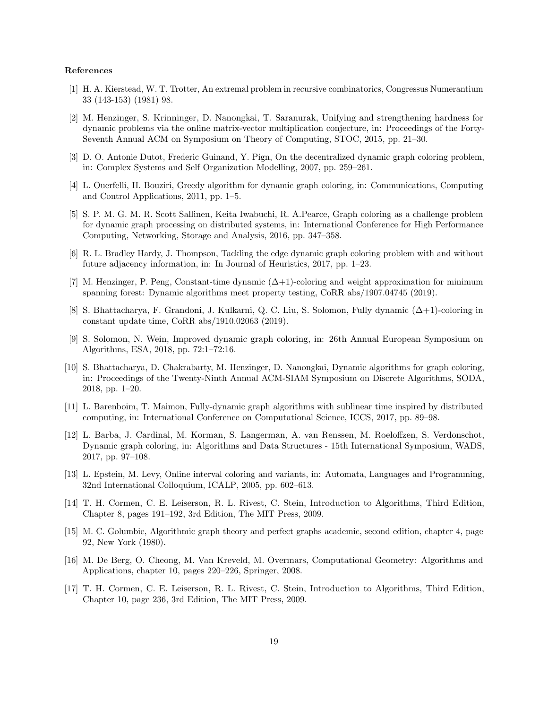#### References

- [1] H. A. Kierstead, W. T. Trotter, An extremal problem in recursive combinatorics, Congressus Numerantium 33 (143-153) (1981) 98.
- [2] M. Henzinger, S. Krinninger, D. Nanongkai, T. Saranurak, Unifying and strengthening hardness for dynamic problems via the online matrix-vector multiplication conjecture, in: Proceedings of the Forty-Seventh Annual ACM on Symposium on Theory of Computing, STOC, 2015, pp. 21–30.
- [3] D. O. Antonie Dutot, Frederic Guinand, Y. Pign, On the decentralized dynamic graph coloring problem, in: Complex Systems and Self Organization Modelling, 2007, pp. 259–261.
- [4] L. Ouerfelli, H. Bouziri, Greedy algorithm for dynamic graph coloring, in: Communications, Computing and Control Applications, 2011, pp. 1–5.
- [5] S. P. M. G. M. R. Scott Sallinen, Keita Iwabuchi, R. A.Pearce, Graph coloring as a challenge problem for dynamic graph processing on distributed systems, in: International Conference for High Performance Computing, Networking, Storage and Analysis, 2016, pp. 347–358.
- [6] R. L. Bradley Hardy, J. Thompson, Tackling the edge dynamic graph coloring problem with and without future adjacency information, in: In Journal of Heuristics, 2017, pp. 1–23.
- [7] M. Henzinger, P. Peng, Constant-time dynamic (∆+1)-coloring and weight approximation for minimum spanning forest: Dynamic algorithms meet property testing, CoRR abs/1907.04745 (2019).
- [8] S. Bhattacharya, F. Grandoni, J. Kulkarni, Q. C. Liu, S. Solomon, Fully dynamic (∆+1)-coloring in constant update time, CoRR abs/1910.02063 (2019).
- [9] S. Solomon, N. Wein, Improved dynamic graph coloring, in: 26th Annual European Symposium on Algorithms, ESA, 2018, pp. 72:1–72:16.
- [10] S. Bhattacharya, D. Chakrabarty, M. Henzinger, D. Nanongkai, Dynamic algorithms for graph coloring, in: Proceedings of the Twenty-Ninth Annual ACM-SIAM Symposium on Discrete Algorithms, SODA, 2018, pp. 1–20.
- [11] L. Barenboim, T. Maimon, Fully-dynamic graph algorithms with sublinear time inspired by distributed computing, in: International Conference on Computational Science, ICCS, 2017, pp. 89–98.
- [12] L. Barba, J. Cardinal, M. Korman, S. Langerman, A. van Renssen, M. Roeloffzen, S. Verdonschot, Dynamic graph coloring, in: Algorithms and Data Structures - 15th International Symposium, WADS, 2017, pp. 97–108.
- [13] L. Epstein, M. Levy, Online interval coloring and variants, in: Automata, Languages and Programming, 32nd International Colloquium, ICALP, 2005, pp. 602–613.
- [14] T. H. Cormen, C. E. Leiserson, R. L. Rivest, C. Stein, Introduction to Algorithms, Third Edition, Chapter 8, pages 191–192, 3rd Edition, The MIT Press, 2009.
- [15] M. C. Golumbic, Algorithmic graph theory and perfect graphs academic, second edition, chapter 4, page 92, New York (1980).
- [16] M. De Berg, O. Cheong, M. Van Kreveld, M. Overmars, Computational Geometry: Algorithms and Applications, chapter 10, pages 220–226, Springer, 2008.
- [17] T. H. Cormen, C. E. Leiserson, R. L. Rivest, C. Stein, Introduction to Algorithms, Third Edition, Chapter 10, page 236, 3rd Edition, The MIT Press, 2009.